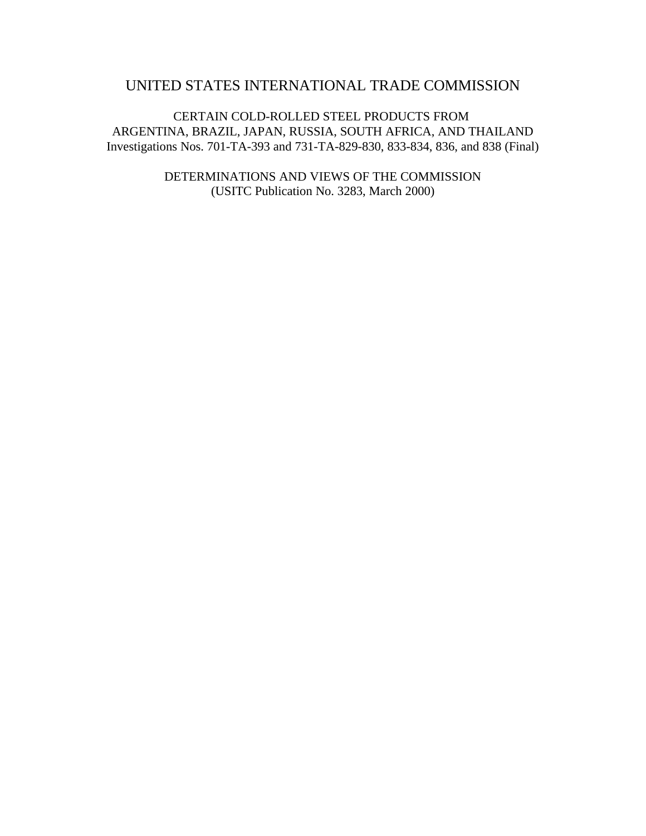# UNITED STATES INTERNATIONAL TRADE COMMISSION

CERTAIN COLD-ROLLED STEEL PRODUCTS FROM ARGENTINA, BRAZIL, JAPAN, RUSSIA, SOUTH AFRICA, AND THAILAND Investigations Nos. 701-TA-393 and 731-TA-829-830, 833-834, 836, and 838 (Final)

> DETERMINATIONS AND VIEWS OF THE COMMISSION (USITC Publication No. 3283, March 2000)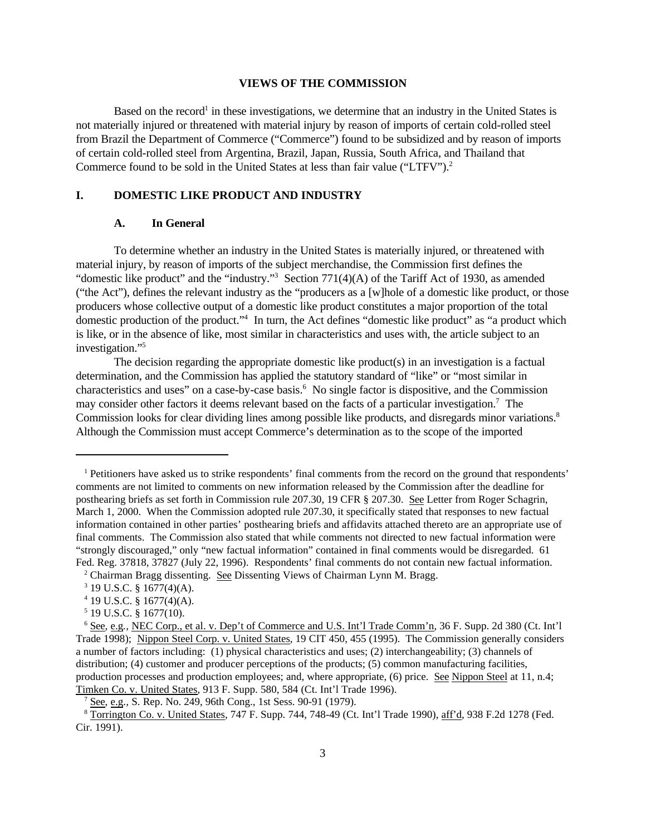#### **VIEWS OF THE COMMISSION**

Based on the record<sup>1</sup> in these investigations, we determine that an industry in the United States is not materially injured or threatened with material injury by reason of imports of certain cold-rolled steel from Brazil the Department of Commerce ("Commerce") found to be subsidized and by reason of imports of certain cold-rolled steel from Argentina, Brazil, Japan, Russia, South Africa, and Thailand that Commerce found to be sold in the United States at less than fair value ("LTFV").<sup>2</sup>

#### **I. DOMESTIC LIKE PRODUCT AND INDUSTRY**

#### **A. In General**

To determine whether an industry in the United States is materially injured, or threatened with material injury, by reason of imports of the subject merchandise, the Commission first defines the "domestic like product" and the "industry."<sup>3</sup> Section 771(4)(A) of the Tariff Act of 1930, as amended ("the Act"), defines the relevant industry as the "producers as a [w]hole of a domestic like product, or those producers whose collective output of a domestic like product constitutes a major proportion of the total domestic production of the product."<sup>4</sup> In turn, the Act defines "domestic like product" as "a product which is like, or in the absence of like, most similar in characteristics and uses with, the article subject to an investigation."<sup>5</sup>

The decision regarding the appropriate domestic like product(s) in an investigation is a factual determination, and the Commission has applied the statutory standard of "like" or "most similar in characteristics and uses" on a case-by-case basis.<sup>6</sup> No single factor is dispositive, and the Commission may consider other factors it deems relevant based on the facts of a particular investigation.<sup>7</sup> The Commission looks for clear dividing lines among possible like products, and disregards minor variations.<sup>8</sup> Although the Commission must accept Commerce's determination as to the scope of the imported

<sup>&</sup>lt;sup>1</sup> Petitioners have asked us to strike respondents' final comments from the record on the ground that respondents' comments are not limited to comments on new information released by the Commission after the deadline for posthearing briefs as set forth in Commission rule 207.30, 19 CFR § 207.30. See Letter from Roger Schagrin, March 1, 2000. When the Commission adopted rule 207.30, it specifically stated that responses to new factual information contained in other parties' posthearing briefs and affidavits attached thereto are an appropriate use of final comments. The Commission also stated that while comments not directed to new factual information were "strongly discouraged," only "new factual information" contained in final comments would be disregarded. 61 Fed. Reg. 37818, 37827 (July 22, 1996). Respondents' final comments do not contain new factual information.

<sup>&</sup>lt;sup>2</sup> Chairman Bragg dissenting. See Dissenting Views of Chairman Lynn M. Bragg.

 $3$  19 U.S.C. § 1677(4)(A).

<sup>4</sup> 19 U.S.C. § 1677(4)(A).

<sup>5</sup> 19 U.S.C. § 1677(10).

<sup>6</sup> See*,* e.g*.,* NEC Corp., et al. v. Dep't of Commerce and U.S. Int'l Trade Comm'n, 36 F. Supp. 2d 380 (Ct. Int'l Trade 1998); Nippon Steel Corp. v. United States, 19 CIT 450, 455 (1995). The Commission generally considers a number of factors including: (1) physical characteristics and uses; (2) interchangeability; (3) channels of distribution; (4) customer and producer perceptions of the products; (5) common manufacturing facilities, production processes and production employees; and, where appropriate, (6) price. See Nippon Steel at 11, n.4; Timken Co. v. United States, 913 F. Supp. 580, 584 (Ct. Int'l Trade 1996).

<sup>7</sup> See, e.g.*,* S. Rep. No. 249, 96th Cong., 1st Sess. 90-91 (1979).

<sup>8</sup> Torrington Co. v. United States, 747 F. Supp. 744, 748-49 (Ct. Int'l Trade 1990), aff'd, 938 F.2d 1278 (Fed. Cir. 1991).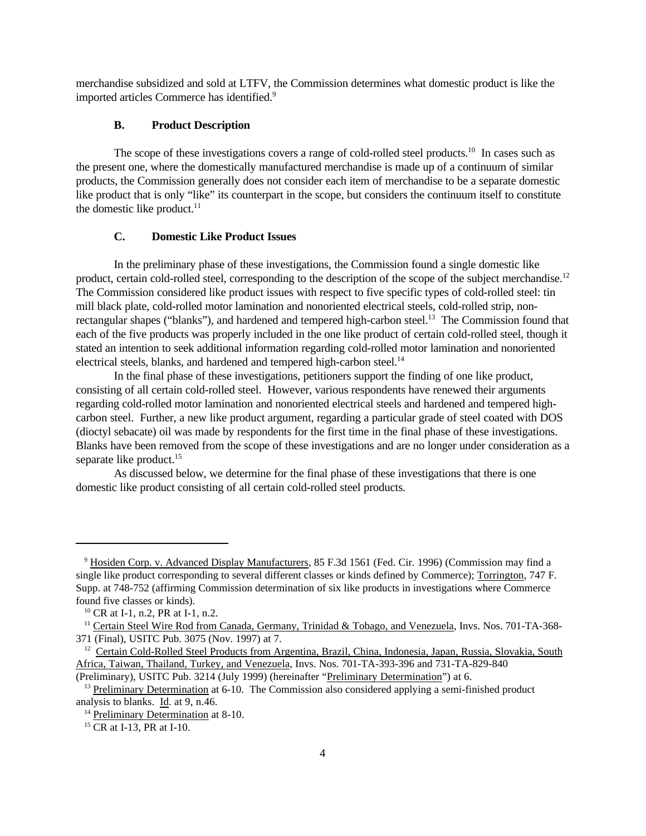merchandise subsidized and sold at LTFV, the Commission determines what domestic product is like the imported articles Commerce has identified.<sup>9</sup>

### **B. Product Description**

The scope of these investigations covers a range of cold-rolled steel products.<sup>10</sup> In cases such as the present one, where the domestically manufactured merchandise is made up of a continuum of similar products, the Commission generally does not consider each item of merchandise to be a separate domestic like product that is only "like" its counterpart in the scope, but considers the continuum itself to constitute the domestic like product. $11$ 

#### **C. Domestic Like Product Issues**

In the preliminary phase of these investigations, the Commission found a single domestic like product, certain cold-rolled steel, corresponding to the description of the scope of the subject merchandise.<sup>12</sup> The Commission considered like product issues with respect to five specific types of cold-rolled steel: tin mill black plate, cold-rolled motor lamination and nonoriented electrical steels, cold-rolled strip, nonrectangular shapes ("blanks"), and hardened and tempered high-carbon steel.<sup>13</sup> The Commission found that each of the five products was properly included in the one like product of certain cold-rolled steel, though it stated an intention to seek additional information regarding cold-rolled motor lamination and nonoriented electrical steels, blanks, and hardened and tempered high-carbon steel.<sup>14</sup>

In the final phase of these investigations, petitioners support the finding of one like product, consisting of all certain cold-rolled steel. However, various respondents have renewed their arguments regarding cold-rolled motor lamination and nonoriented electrical steels and hardened and tempered highcarbon steel. Further, a new like product argument, regarding a particular grade of steel coated with DOS (dioctyl sebacate) oil was made by respondents for the first time in the final phase of these investigations. Blanks have been removed from the scope of these investigations and are no longer under consideration as a separate like product.<sup>15</sup>

As discussed below, we determine for the final phase of these investigations that there is one domestic like product consisting of all certain cold-rolled steel products.

<sup>9</sup> Hosiden Corp. v. Advanced Display Manufacturers, 85 F.3d 1561 (Fed. Cir. 1996) (Commission may find a single like product corresponding to several different classes or kinds defined by Commerce); Torrington, 747 F. Supp. at 748-752 (affirming Commission determination of six like products in investigations where Commerce found five classes or kinds).

<sup>&</sup>lt;sup>10</sup> CR at I-1, n.2, PR at I-1, n.2.

<sup>&</sup>lt;sup>11</sup> Certain Steel Wire Rod from Canada, Germany, Trinidad & Tobago, and Venezuela, Invs. Nos. 701-TA-368-371 (Final), USITC Pub. 3075 (Nov. 1997) at 7.

<sup>&</sup>lt;sup>12</sup> Certain Cold-Rolled Steel Products from Argentina, Brazil, China, Indonesia, Japan, Russia, Slovakia, South Africa, Taiwan, Thailand, Turkey, and Venezuela, Invs. Nos. 701-TA-393-396 and 731-TA-829-840 (Preliminary), USITC Pub. 3214 (July 1999) (hereinafter "Preliminary Determination") at 6.

 $13$  Preliminary Determination at 6-10. The Commission also considered applying a semi-finished product analysis to blanks. Id. at 9, n.46.

<sup>&</sup>lt;sup>14</sup> Preliminary Determination at 8-10.

<sup>&</sup>lt;sup>15</sup> CR at I-13, PR at I-10.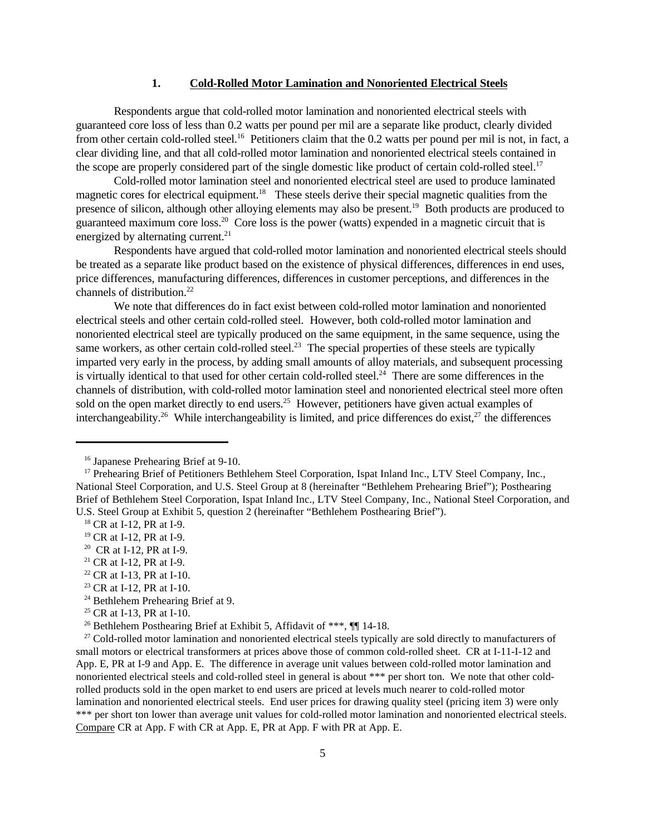#### **1. Cold-Rolled Motor Lamination and Nonoriented Electrical Steels**

Respondents argue that cold-rolled motor lamination and nonoriented electrical steels with guaranteed core loss of less than 0.2 watts per pound per mil are a separate like product, clearly divided from other certain cold-rolled steel.<sup>16</sup> Petitioners claim that the 0.2 watts per pound per mil is not, in fact, a clear dividing line, and that all cold-rolled motor lamination and nonoriented electrical steels contained in the scope are properly considered part of the single domestic like product of certain cold-rolled steel.<sup>17</sup>

Cold-rolled motor lamination steel and nonoriented electrical steel are used to produce laminated magnetic cores for electrical equipment.<sup>18</sup> These steels derive their special magnetic qualities from the presence of silicon, although other alloying elements may also be present.<sup>19</sup> Both products are produced to guaranteed maximum core loss.<sup>20</sup> Core loss is the power (watts) expended in a magnetic circuit that is energized by alternating current.<sup>21</sup>

Respondents have argued that cold-rolled motor lamination and nonoriented electrical steels should be treated as a separate like product based on the existence of physical differences, differences in end uses, price differences, manufacturing differences, differences in customer perceptions, and differences in the channels of distribution.<sup>22</sup>

We note that differences do in fact exist between cold-rolled motor lamination and nonoriented electrical steels and other certain cold-rolled steel. However, both cold-rolled motor lamination and nonoriented electrical steel are typically produced on the same equipment, in the same sequence, using the same workers, as other certain cold-rolled steel.<sup>23</sup> The special properties of these steels are typically imparted very early in the process, by adding small amounts of alloy materials, and subsequent processing is virtually identical to that used for other certain cold-rolled steel.<sup>24</sup> There are some differences in the channels of distribution, with cold-rolled motor lamination steel and nonoriented electrical steel more often sold on the open market directly to end users.<sup>25</sup> However, petitioners have given actual examples of interchangeability.<sup>26</sup> While interchangeability is limited, and price differences do exist,  $27$  the differences

<sup>22</sup> CR at I-13, PR at I-10.

 $27$  Cold-rolled motor lamination and nonoriented electrical steels typically are sold directly to manufacturers of small motors or electrical transformers at prices above those of common cold-rolled sheet. CR at I-11-I-12 and App. E, PR at I-9 and App. E. The difference in average unit values between cold-rolled motor lamination and nonoriented electrical steels and cold-rolled steel in general is about \*\*\* per short ton. We note that other coldrolled products sold in the open market to end users are priced at levels much nearer to cold-rolled motor lamination and nonoriented electrical steels. End user prices for drawing quality steel (pricing item 3) were only \*\*\* per short ton lower than average unit values for cold-rolled motor lamination and nonoriented electrical steels. Compare CR at App. F with CR at App. E, PR at App. F with PR at App. E.

<sup>16</sup> Japanese Prehearing Brief at 9-10.

<sup>&</sup>lt;sup>17</sup> Prehearing Brief of Petitioners Bethlehem Steel Corporation, Ispat Inland Inc., LTV Steel Company, Inc., National Steel Corporation, and U.S. Steel Group at 8 (hereinafter "Bethlehem Prehearing Brief"); Posthearing Brief of Bethlehem Steel Corporation, Ispat Inland Inc., LTV Steel Company, Inc., National Steel Corporation, and U.S. Steel Group at Exhibit 5, question 2 (hereinafter "Bethlehem Posthearing Brief").

<sup>&</sup>lt;sup>18</sup> CR at I-12, PR at I-9.

<sup>19</sup> CR at I-12, PR at I-9.

<sup>&</sup>lt;sup>20</sup> CR at I-12, PR at I-9.

<sup>21</sup> CR at I-12, PR at I-9.

<sup>&</sup>lt;sup>23</sup> CR at I-12, PR at I-10.

<sup>&</sup>lt;sup>24</sup> Bethlehem Prehearing Brief at 9.

<sup>&</sup>lt;sup>25</sup> CR at I-13, PR at I-10.

<sup>&</sup>lt;sup>26</sup> Bethlehem Posthearing Brief at Exhibit 5, Affidavit of \*\*\*,  $\P\P$  14-18.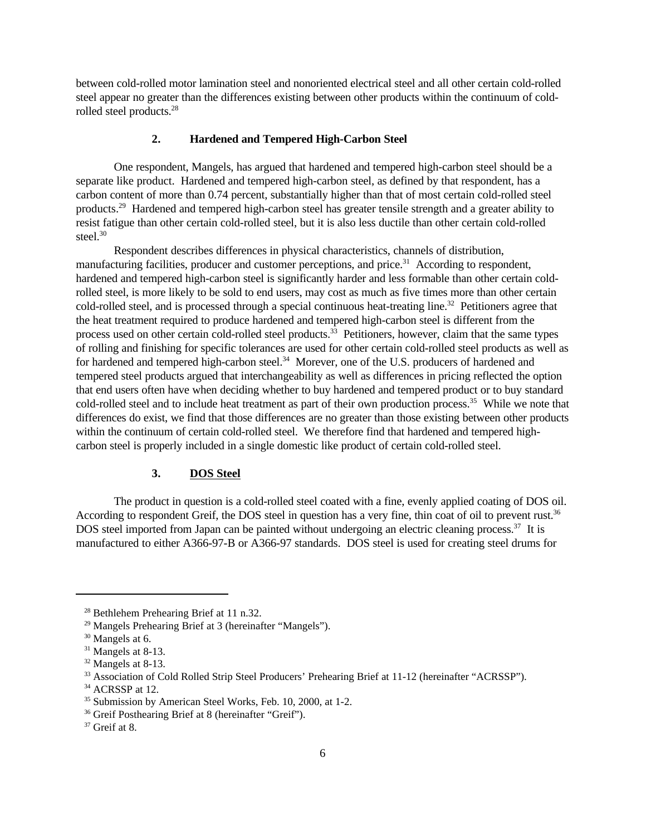between cold-rolled motor lamination steel and nonoriented electrical steel and all other certain cold-rolled steel appear no greater than the differences existing between other products within the continuum of coldrolled steel products.<sup>28</sup>

# **2. Hardened and Tempered High-Carbon Steel**

One respondent, Mangels, has argued that hardened and tempered high-carbon steel should be a separate like product. Hardened and tempered high-carbon steel, as defined by that respondent, has a carbon content of more than 0.74 percent, substantially higher than that of most certain cold-rolled steel products.<sup>29</sup> Hardened and tempered high-carbon steel has greater tensile strength and a greater ability to resist fatigue than other certain cold-rolled steel, but it is also less ductile than other certain cold-rolled steel. $30$ 

Respondent describes differences in physical characteristics, channels of distribution, manufacturing facilities, producer and customer perceptions, and price.<sup>31</sup> According to respondent, hardened and tempered high-carbon steel is significantly harder and less formable than other certain coldrolled steel, is more likely to be sold to end users, may cost as much as five times more than other certain cold-rolled steel, and is processed through a special continuous heat-treating line.<sup>32</sup> Petitioners agree that the heat treatment required to produce hardened and tempered high-carbon steel is different from the process used on other certain cold-rolled steel products.<sup>33</sup> Petitioners, however, claim that the same types of rolling and finishing for specific tolerances are used for other certain cold-rolled steel products as well as for hardened and tempered high-carbon steel.<sup>34</sup> Morever, one of the U.S. producers of hardened and tempered steel products argued that interchangeability as well as differences in pricing reflected the option that end users often have when deciding whether to buy hardened and tempered product or to buy standard cold-rolled steel and to include heat treatment as part of their own production process.<sup>35</sup> While we note that differences do exist, we find that those differences are no greater than those existing between other products within the continuum of certain cold-rolled steel. We therefore find that hardened and tempered highcarbon steel is properly included in a single domestic like product of certain cold-rolled steel.

### **3. DOS Steel**

The product in question is a cold-rolled steel coated with a fine, evenly applied coating of DOS oil. According to respondent Greif, the DOS steel in question has a very fine, thin coat of oil to prevent rust.<sup>36</sup> DOS steel imported from Japan can be painted without undergoing an electric cleaning process.<sup>37</sup> It is manufactured to either A366-97-B or A366-97 standards. DOS steel is used for creating steel drums for

<sup>&</sup>lt;sup>28</sup> Bethlehem Prehearing Brief at 11 n.32.

<sup>29</sup> Mangels Prehearing Brief at 3 (hereinafter "Mangels").

<sup>&</sup>lt;sup>30</sup> Mangels at 6.

<sup>&</sup>lt;sup>31</sup> Mangels at 8-13.

<sup>32</sup> Mangels at 8-13.

<sup>33</sup> Association of Cold Rolled Strip Steel Producers' Prehearing Brief at 11-12 (hereinafter "ACRSSP").

<sup>&</sup>lt;sup>34</sup> ACRSSP at 12.

<sup>&</sup>lt;sup>35</sup> Submission by American Steel Works, Feb. 10, 2000, at 1-2.

<sup>36</sup> Greif Posthearing Brief at 8 (hereinafter "Greif").

 $37$  Greif at 8.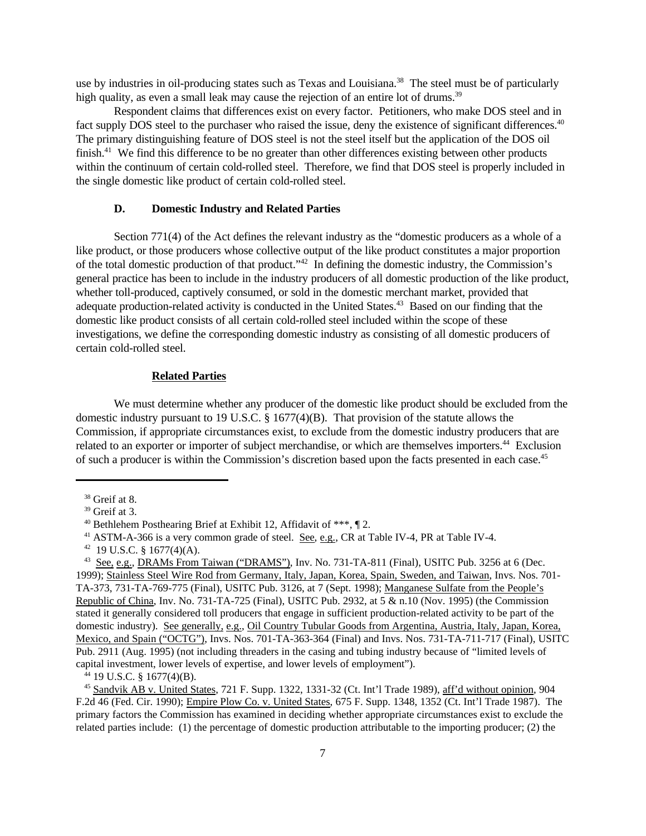use by industries in oil-producing states such as Texas and Louisiana.<sup>38</sup> The steel must be of particularly high quality, as even a small leak may cause the rejection of an entire lot of drums.<sup>39</sup>

Respondent claims that differences exist on every factor. Petitioners, who make DOS steel and in fact supply DOS steel to the purchaser who raised the issue, deny the existence of significant differences.<sup>40</sup> The primary distinguishing feature of DOS steel is not the steel itself but the application of the DOS oil finish. $41$  We find this difference to be no greater than other differences existing between other products within the continuum of certain cold-rolled steel. Therefore, we find that DOS steel is properly included in the single domestic like product of certain cold-rolled steel.

### **D. Domestic Industry and Related Parties**

Section 771(4) of the Act defines the relevant industry as the "domestic producers as a whole of a like product, or those producers whose collective output of the like product constitutes a major proportion of the total domestic production of that product."<sup>42</sup> In defining the domestic industry, the Commission's general practice has been to include in the industry producers of all domestic production of the like product, whether toll-produced, captively consumed, or sold in the domestic merchant market, provided that adequate production-related activity is conducted in the United States.<sup>43</sup> Based on our finding that the domestic like product consists of all certain cold-rolled steel included within the scope of these investigations, we define the corresponding domestic industry as consisting of all domestic producers of certain cold-rolled steel.

### **Related Parties**

We must determine whether any producer of the domestic like product should be excluded from the domestic industry pursuant to 19 U.S.C. § 1677(4)(B). That provision of the statute allows the Commission, if appropriate circumstances exist, to exclude from the domestic industry producers that are related to an exporter or importer of subject merchandise, or which are themselves importers.<sup>44</sup> Exclusion of such a producer is within the Commission's discretion based upon the facts presented in each case.45

<sup>38</sup> Greif at 8.

<sup>39</sup> Greif at 3.

<sup>&</sup>lt;sup>40</sup> Bethlehem Posthearing Brief at Exhibit 12, Affidavit of \*\*\*,  $\P$  2.

<sup>41</sup> ASTM-A-366 is a very common grade of steel. See, e.g., CR at Table IV-4, PR at Table IV-4.

 $42$  19 U.S.C. § 1677(4)(A).

<sup>&</sup>lt;sup>43</sup> See, e.g., DRAMs From Taiwan ("DRAMS"), Inv. No. 731-TA-811 (Final), USITC Pub. 3256 at 6 (Dec. 1999); Stainless Steel Wire Rod from Germany, Italy, Japan, Korea, Spain, Sweden, and Taiwan, Invs. Nos. 701- TA-373, 731-TA-769-775 (Final), USITC Pub. 3126, at 7 (Sept. 1998); Manganese Sulfate from the People's Republic of China, Inv. No. 731-TA-725 (Final), USITC Pub. 2932, at 5 & n.10 (Nov. 1995) (the Commission stated it generally considered toll producers that engage in sufficient production-related activity to be part of the domestic industry). See generally, e.g., Oil Country Tubular Goods from Argentina, Austria, Italy, Japan, Korea, Mexico, and Spain ("OCTG"), Invs. Nos. 701-TA-363-364 (Final) and Invs. Nos. 731-TA-711-717 (Final), USITC Pub. 2911 (Aug. 1995) (not including threaders in the casing and tubing industry because of "limited levels of capital investment, lower levels of expertise, and lower levels of employment").

<sup>44</sup> 19 U.S.C. § 1677(4)(B).

<sup>45</sup> Sandvik AB v. United States, 721 F. Supp. 1322, 1331-32 (Ct. Int'l Trade 1989), aff'd without opinion, 904 F.2d 46 (Fed. Cir. 1990); Empire Plow Co. v. United States, 675 F. Supp. 1348, 1352 (Ct. Int'l Trade 1987). The primary factors the Commission has examined in deciding whether appropriate circumstances exist to exclude the related parties include: (1) the percentage of domestic production attributable to the importing producer; (2) the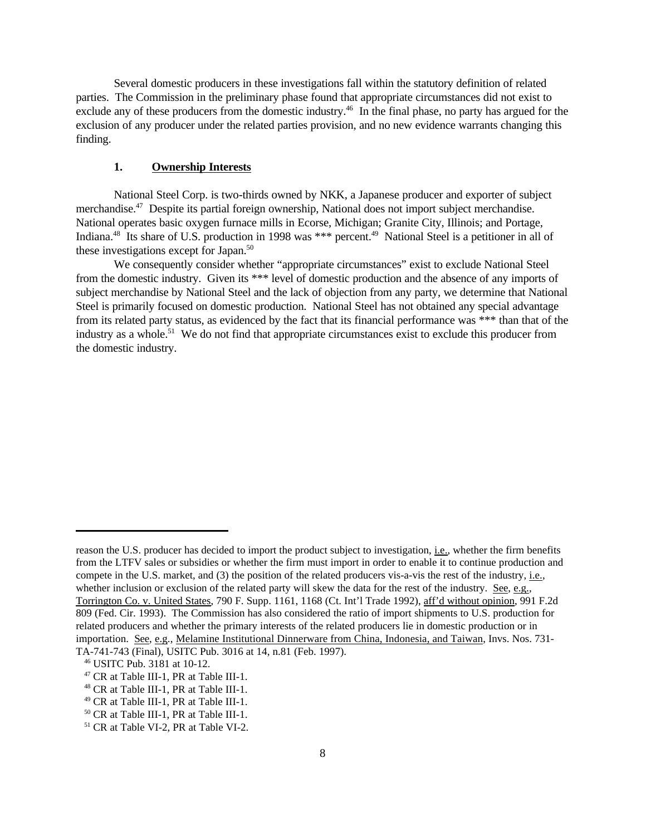Several domestic producers in these investigations fall within the statutory definition of related parties. The Commission in the preliminary phase found that appropriate circumstances did not exist to exclude any of these producers from the domestic industry.<sup>46</sup> In the final phase, no party has argued for the exclusion of any producer under the related parties provision, and no new evidence warrants changing this finding.

### **1. Ownership Interests**

National Steel Corp. is two-thirds owned by NKK, a Japanese producer and exporter of subject merchandise.<sup>47</sup> Despite its partial foreign ownership, National does not import subject merchandise. National operates basic oxygen furnace mills in Ecorse, Michigan; Granite City, Illinois; and Portage, Indiana.<sup>48</sup> Its share of U.S. production in 1998 was \*\*\* percent.<sup>49</sup> National Steel is a petitioner in all of these investigations except for Japan. $50$ 

We consequently consider whether "appropriate circumstances" exist to exclude National Steel from the domestic industry. Given its \*\*\* level of domestic production and the absence of any imports of subject merchandise by National Steel and the lack of objection from any party, we determine that National Steel is primarily focused on domestic production. National Steel has not obtained any special advantage from its related party status, as evidenced by the fact that its financial performance was \*\*\* than that of the industry as a whole.<sup>51</sup> We do not find that appropriate circumstances exist to exclude this producer from the domestic industry.

reason the U.S. producer has decided to import the product subject to investigation, i.e., whether the firm benefits from the LTFV sales or subsidies or whether the firm must import in order to enable it to continue production and compete in the U.S. market, and (3) the position of the related producers vis-a-vis the rest of the industry, i.e., whether inclusion or exclusion of the related party will skew the data for the rest of the industry. See, e.g., Torrington Co. v. United States, 790 F. Supp. 1161, 1168 (Ct. Int'l Trade 1992), aff'd without opinion, 991 F.2d 809 (Fed. Cir. 1993). The Commission has also considered the ratio of import shipments to U.S. production for related producers and whether the primary interests of the related producers lie in domestic production or in importation. See, e.g., Melamine Institutional Dinnerware from China, Indonesia, and Taiwan, Invs. Nos. 731- TA-741-743 (Final), USITC Pub. 3016 at 14, n.81 (Feb. 1997).

<sup>46</sup> USITC Pub. 3181 at 10-12.

<sup>47</sup> CR at Table III-1, PR at Table III-1.

<sup>48</sup> CR at Table III-1, PR at Table III-1.

<sup>49</sup> CR at Table III-1, PR at Table III-1.

<sup>50</sup> CR at Table III-1, PR at Table III-1.

<sup>51</sup> CR at Table VI-2, PR at Table VI-2.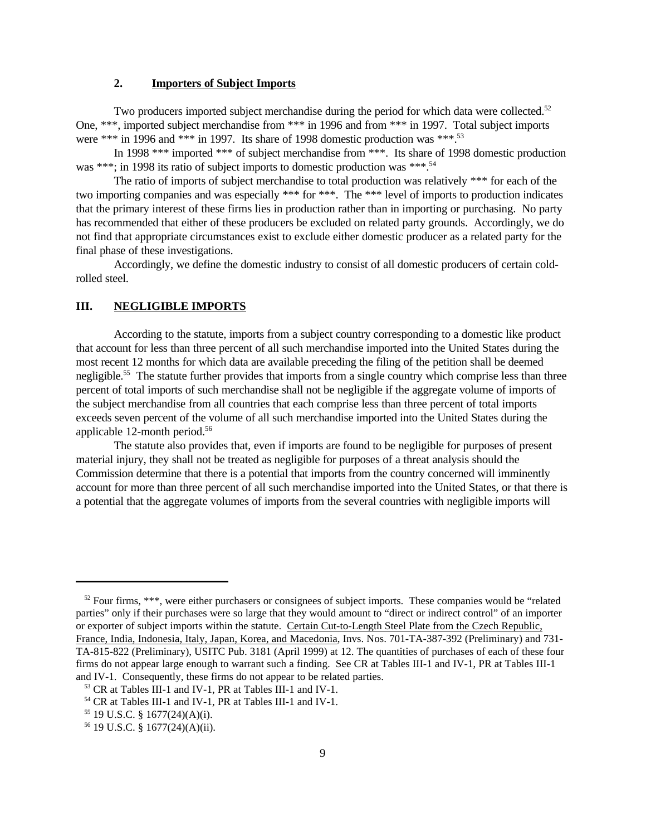# **2. Importers of Subject Imports**

Two producers imported subject merchandise during the period for which data were collected.<sup>52</sup> One, \*\*\*, imported subject merchandise from \*\*\* in 1996 and from \*\*\* in 1997. Total subject imports were \*\*\* in 1996 and \*\*\* in 1997. Its share of 1998 domestic production was \*\*\*.<sup>53</sup>

In 1998 \*\*\* imported \*\*\* of subject merchandise from \*\*\*. Its share of 1998 domestic production was \*\*\*; in 1998 its ratio of subject imports to domestic production was \*\*\*.<sup>54</sup>

The ratio of imports of subject merchandise to total production was relatively \*\*\* for each of the two importing companies and was especially \*\*\* for \*\*\*. The \*\*\* level of imports to production indicates that the primary interest of these firms lies in production rather than in importing or purchasing. No party has recommended that either of these producers be excluded on related party grounds. Accordingly, we do not find that appropriate circumstances exist to exclude either domestic producer as a related party for the final phase of these investigations.

Accordingly, we define the domestic industry to consist of all domestic producers of certain coldrolled steel.

### **III. NEGLIGIBLE IMPORTS**

According to the statute, imports from a subject country corresponding to a domestic like product that account for less than three percent of all such merchandise imported into the United States during the most recent 12 months for which data are available preceding the filing of the petition shall be deemed negligible.<sup>55</sup> The statute further provides that imports from a single country which comprise less than three percent of total imports of such merchandise shall not be negligible if the aggregate volume of imports of the subject merchandise from all countries that each comprise less than three percent of total imports exceeds seven percent of the volume of all such merchandise imported into the United States during the applicable 12-month period.<sup>56</sup>

The statute also provides that, even if imports are found to be negligible for purposes of present material injury, they shall not be treated as negligible for purposes of a threat analysis should the Commission determine that there is a potential that imports from the country concerned will imminently account for more than three percent of all such merchandise imported into the United States, or that there is a potential that the aggregate volumes of imports from the several countries with negligible imports will

 $52$  Four firms, \*\*\*, were either purchasers or consignees of subject imports. These companies would be "related" parties" only if their purchases were so large that they would amount to "direct or indirect control" of an importer or exporter of subject imports within the statute. Certain Cut-to-Length Steel Plate from the Czech Republic, France, India, Indonesia, Italy, Japan, Korea, and Macedonia, Invs. Nos. 701-TA-387-392 (Preliminary) and 731- TA-815-822 (Preliminary), USITC Pub. 3181 (April 1999) at 12. The quantities of purchases of each of these four firms do not appear large enough to warrant such a finding. See CR at Tables III-1 and IV-1, PR at Tables III-1 and IV-1. Consequently, these firms do not appear to be related parties.

<sup>53</sup> CR at Tables III-1 and IV-1, PR at Tables III-1 and IV-1.

<sup>54</sup> CR at Tables III-1 and IV-1, PR at Tables III-1 and IV-1.

<sup>55</sup> 19 U.S.C. § 1677(24)(A)(i).

<sup>56</sup> 19 U.S.C. § 1677(24)(A)(ii).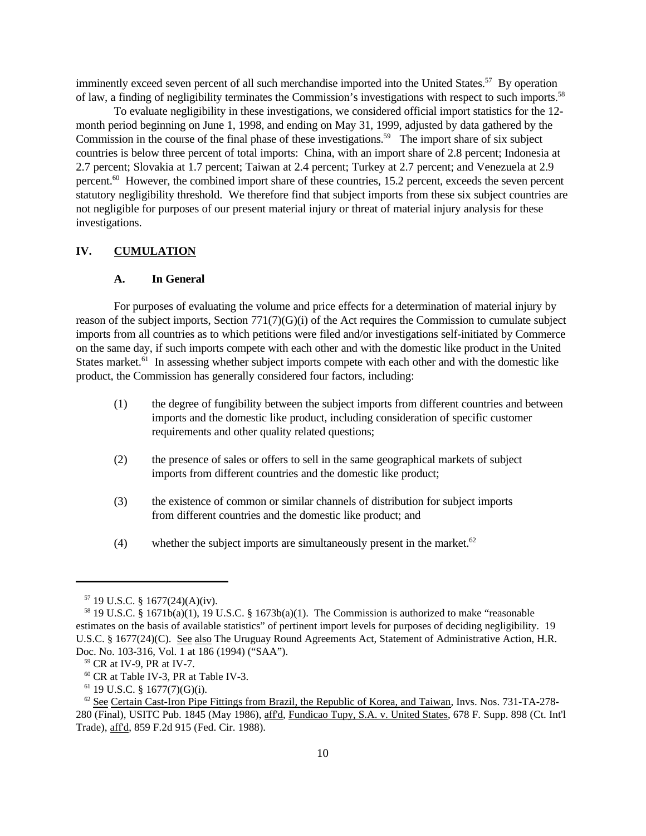imminently exceed seven percent of all such merchandise imported into the United States.<sup>57</sup> By operation of law, a finding of negligibility terminates the Commission's investigations with respect to such imports.<sup>58</sup>

To evaluate negligibility in these investigations, we considered official import statistics for the 12 month period beginning on June 1, 1998, and ending on May 31, 1999, adjusted by data gathered by the Commission in the course of the final phase of these investigations.<sup>59</sup> The import share of six subject countries is below three percent of total imports: China, with an import share of 2.8 percent; Indonesia at 2.7 percent; Slovakia at 1.7 percent; Taiwan at 2.4 percent; Turkey at 2.7 percent; and Venezuela at 2.9 percent.<sup>60</sup> However, the combined import share of these countries, 15.2 percent, exceeds the seven percent statutory negligibility threshold. We therefore find that subject imports from these six subject countries are not negligible for purposes of our present material injury or threat of material injury analysis for these investigations.

#### **IV. CUMULATION**

#### **A. In General**

For purposes of evaluating the volume and price effects for a determination of material injury by reason of the subject imports, Section 771(7)(G)(i) of the Act requires the Commission to cumulate subject imports from all countries as to which petitions were filed and/or investigations self-initiated by Commerce on the same day, if such imports compete with each other and with the domestic like product in the United States market.<sup>61</sup> In assessing whether subject imports compete with each other and with the domestic like product, the Commission has generally considered four factors, including:

- (1) the degree of fungibility between the subject imports from different countries and between imports and the domestic like product, including consideration of specific customer requirements and other quality related questions;
- (2) the presence of sales or offers to sell in the same geographical markets of subject imports from different countries and the domestic like product;
- (3) the existence of common or similar channels of distribution for subject imports from different countries and the domestic like product; and
- (4) whether the subject imports are simultaneously present in the market.<sup>62</sup>

<sup>57</sup> 19 U.S.C. § 1677(24)(A)(iv).

<sup>&</sup>lt;sup>58</sup> 19 U.S.C. § 1671b(a)(1), 19 U.S.C. § 1673b(a)(1). The Commission is authorized to make "reasonable" estimates on the basis of available statistics" of pertinent import levels for purposes of deciding negligibility. 19 U.S.C. § 1677(24)(C). See also The Uruguay Round Agreements Act, Statement of Administrative Action, H.R. Doc. No. 103-316, Vol. 1 at 186 (1994) ("SAA").

<sup>59</sup> CR at IV-9, PR at IV-7.

<sup>60</sup> CR at Table IV-3, PR at Table IV-3.

 $61$  19 U.S.C. § 1677(7)(G)(i).

 $62$  See Certain Cast-Iron Pipe Fittings from Brazil, the Republic of Korea, and Taiwan, Invs. Nos. 731-TA-278-280 (Final), USITC Pub. 1845 (May 1986), aff'd, Fundicao Tupy, S.A. v. United States, 678 F. Supp. 898 (Ct. Int'l Trade), aff'd, 859 F.2d 915 (Fed. Cir. 1988).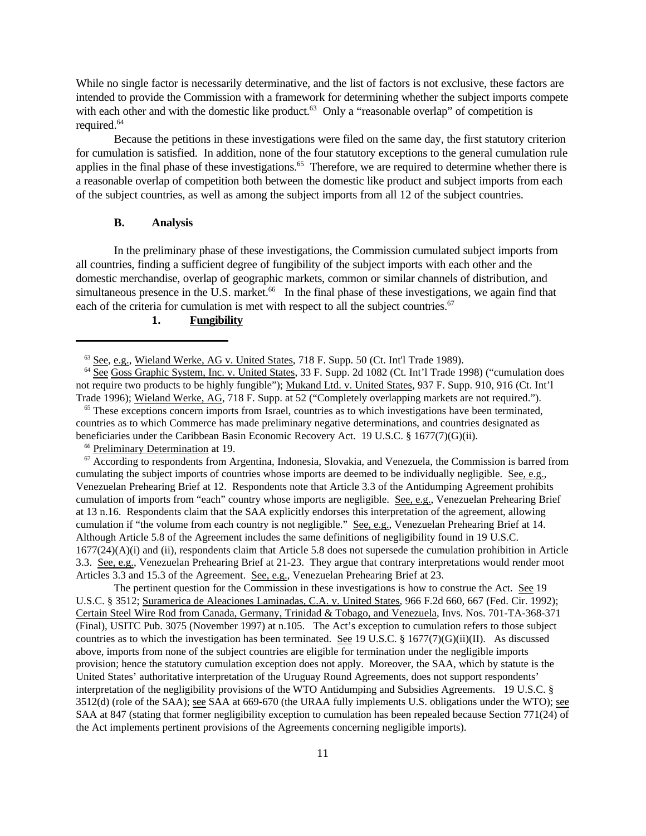While no single factor is necessarily determinative, and the list of factors is not exclusive, these factors are intended to provide the Commission with a framework for determining whether the subject imports compete with each other and with the domestic like product.<sup>63</sup> Only a "reasonable overlap" of competition is required.<sup>64</sup>

Because the petitions in these investigations were filed on the same day, the first statutory criterion for cumulation is satisfied. In addition, none of the four statutory exceptions to the general cumulation rule applies in the final phase of these investigations.<sup>65</sup> Therefore, we are required to determine whether there is a reasonable overlap of competition both between the domestic like product and subject imports from each of the subject countries, as well as among the subject imports from all 12 of the subject countries.

#### **B. Analysis**

In the preliminary phase of these investigations, the Commission cumulated subject imports from all countries, finding a sufficient degree of fungibility of the subject imports with each other and the domestic merchandise, overlap of geographic markets, common or similar channels of distribution, and simultaneous presence in the U.S. market.<sup>66</sup> In the final phase of these investigations, we again find that each of the criteria for cumulation is met with respect to all the subject countries.<sup>67</sup>

### **1. Fungibility**

<sup>65</sup> These exceptions concern imports from Israel, countries as to which investigations have been terminated, countries as to which Commerce has made preliminary negative determinations, and countries designated as beneficiaries under the Caribbean Basin Economic Recovery Act. 19 U.S.C. § 1677(7)(G)(ii).

<sup>66</sup> Preliminary Determination at 19.

 $\sigma$  According to respondents from Argentina, Indonesia, Slovakia, and Venezuela, the Commission is barred from cumulating the subject imports of countries whose imports are deemed to be individually negligible. See, e.g., Venezuelan Prehearing Brief at 12. Respondents note that Article 3.3 of the Antidumping Agreement prohibits cumulation of imports from "each" country whose imports are negligible. See, e.g., Venezuelan Prehearing Brief at 13 n.16. Respondents claim that the SAA explicitly endorses this interpretation of the agreement, allowing cumulation if "the volume from each country is not negligible." See, e.g., Venezuelan Prehearing Brief at 14. Although Article 5.8 of the Agreement includes the same definitions of negligibility found in 19 U.S.C. 1677(24)(A)(i) and (ii), respondents claim that Article 5.8 does not supersede the cumulation prohibition in Article 3.3. See, e.g., Venezuelan Prehearing Brief at 21-23. They argue that contrary interpretations would render moot Articles 3.3 and 15.3 of the Agreement. See, e.g., Venezuelan Prehearing Brief at 23.

The pertinent question for the Commission in these investigations is how to construe the Act. See 19 U.S.C. § 3512; Suramerica de Aleaciones Laminadas, C.A. v. United States, 966 F.2d 660, 667 (Fed. Cir. 1992); Certain Steel Wire Rod from Canada, Germany, Trinidad & Tobago, and Venezuela, Invs. Nos. 701-TA-368-371 (Final), USITC Pub. 3075 (November 1997) at n.105. The Act's exception to cumulation refers to those subject countries as to which the investigation has been terminated. See 19 U.S.C. § 1677(7)(G)(ii)(II). As discussed above, imports from none of the subject countries are eligible for termination under the negligible imports provision; hence the statutory cumulation exception does not apply. Moreover, the SAA, which by statute is the United States' authoritative interpretation of the Uruguay Round Agreements, does not support respondents' interpretation of the negligibility provisions of the WTO Antidumping and Subsidies Agreements. 19 U.S.C. § 3512(d) (role of the SAA); see SAA at 669-670 (the URAA fully implements U.S. obligations under the WTO); see SAA at 847 (stating that former negligibility exception to cumulation has been repealed because Section 771(24) of the Act implements pertinent provisions of the Agreements concerning negligible imports).

 $63$  See, e.g., Wieland Werke, AG v. United States,  $718$  F. Supp. 50 (Ct. Int'l Trade 1989).

<sup>&</sup>lt;sup>64</sup> See Goss Graphic System, Inc. v. United States, 33 F. Supp. 2d 1082 (Ct. Int'l Trade 1998) ("cumulation does not require two products to be highly fungible"); Mukand Ltd. v. United States, 937 F. Supp. 910, 916 (Ct. Int'l Trade 1996); Wieland Werke, AG, 718 F. Supp. at 52 ("Completely overlapping markets are not required.").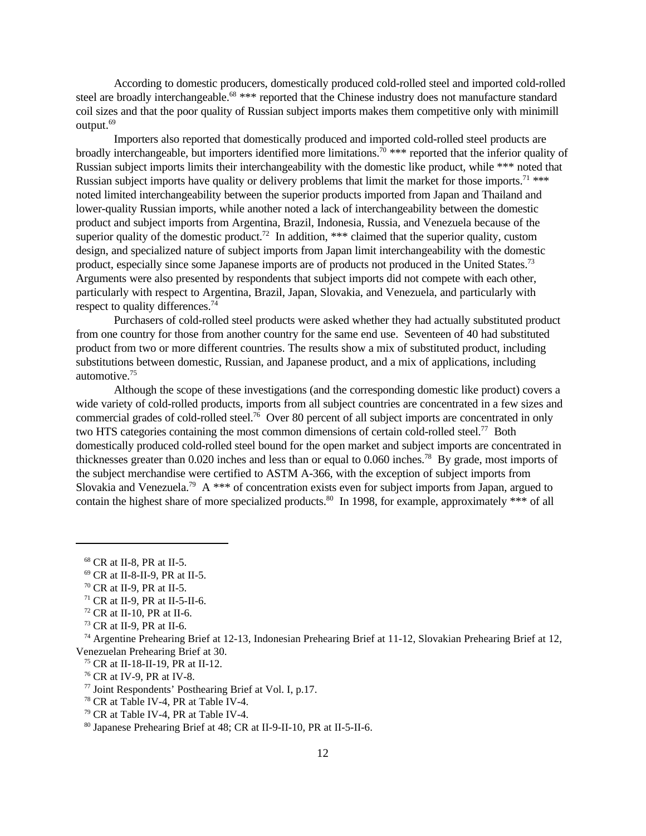According to domestic producers, domestically produced cold-rolled steel and imported cold-rolled steel are broadly interchangeable.<sup>68</sup> \*\*\* reported that the Chinese industry does not manufacture standard coil sizes and that the poor quality of Russian subject imports makes them competitive only with minimill output.<sup>69</sup>

Importers also reported that domestically produced and imported cold-rolled steel products are broadly interchangeable, but importers identified more limitations.<sup> $\bar{\eta}$ </sup> \*\*\* reported that the inferior quality of Russian subject imports limits their interchangeability with the domestic like product, while \*\*\* noted that Russian subject imports have quality or delivery problems that limit the market for those imports.<sup>71</sup> \*\*\* noted limited interchangeability between the superior products imported from Japan and Thailand and lower-quality Russian imports, while another noted a lack of interchangeability between the domestic product and subject imports from Argentina, Brazil, Indonesia, Russia, and Venezuela because of the superior quality of the domestic product.<sup>72</sup> In addition, \*\*\* claimed that the superior quality, custom design, and specialized nature of subject imports from Japan limit interchangeability with the domestic product, especially since some Japanese imports are of products not produced in the United States.<sup>73</sup> Arguments were also presented by respondents that subject imports did not compete with each other, particularly with respect to Argentina, Brazil, Japan, Slovakia, and Venezuela, and particularly with respect to quality differences.<sup>74</sup>

Purchasers of cold-rolled steel products were asked whether they had actually substituted product from one country for those from another country for the same end use. Seventeen of 40 had substituted product from two or more different countries. The results show a mix of substituted product, including substitutions between domestic, Russian, and Japanese product, and a mix of applications, including automotive.<sup>75</sup>

Although the scope of these investigations (and the corresponding domestic like product) covers a wide variety of cold-rolled products, imports from all subject countries are concentrated in a few sizes and commercial grades of cold-rolled steel.<sup>76</sup> Over 80 percent of all subject imports are concentrated in only two HTS categories containing the most common dimensions of certain cold-rolled steel.<sup>77</sup> Both domestically produced cold-rolled steel bound for the open market and subject imports are concentrated in thicknesses greater than 0.020 inches and less than or equal to 0.060 inches.<sup>78</sup> By grade, most imports of the subject merchandise were certified to ASTM A-366, with the exception of subject imports from Slovakia and Venezuela.<sup>79</sup> A \*\*\* of concentration exists even for subject imports from Japan, argued to contain the highest share of more specialized products.<sup>80</sup> In 1998, for example, approximately \*\*\* of all

<sup>68</sup> CR at II-8, PR at II-5.

<sup>69</sup> CR at II-8-II-9, PR at II-5.

<sup>70</sup> CR at II-9, PR at II-5.

 $71$  CR at II-9, PR at II-5-II-6.

<sup>72</sup> CR at II-10, PR at II-6.

<sup>73</sup> CR at II-9, PR at II-6.

<sup>74</sup> Argentine Prehearing Brief at 12-13, Indonesian Prehearing Brief at 11-12, Slovakian Prehearing Brief at 12, Venezuelan Prehearing Brief at 30.

<sup>75</sup> CR at II-18-II-19, PR at II-12.

<sup>76</sup> CR at IV-9, PR at IV-8.

<sup>77</sup> Joint Respondents' Posthearing Brief at Vol. I, p.17.

<sup>78</sup> CR at Table IV-4, PR at Table IV-4.

<sup>79</sup> CR at Table IV-4, PR at Table IV-4.

<sup>80</sup> Japanese Prehearing Brief at 48; CR at II-9-II-10, PR at II-5-II-6.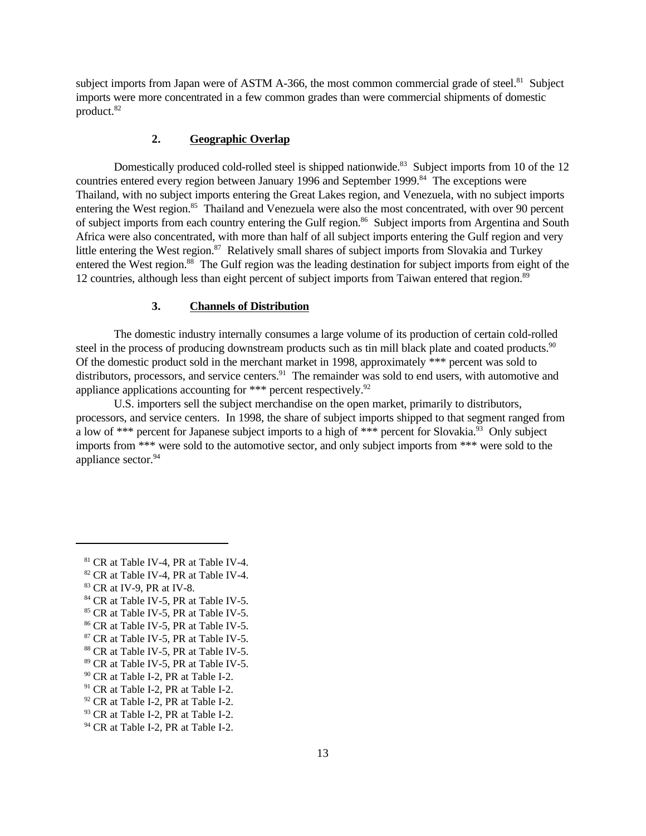subject imports from Japan were of ASTM A-366, the most common commercial grade of steel.<sup>81</sup> Subject imports were more concentrated in a few common grades than were commercial shipments of domestic product.<sup>82</sup>

# **2. Geographic Overlap**

Domestically produced cold-rolled steel is shipped nationwide.<sup>83</sup> Subject imports from 10 of the 12 countries entered every region between January 1996 and September 1999.<sup>84</sup> The exceptions were Thailand, with no subject imports entering the Great Lakes region, and Venezuela, with no subject imports entering the West region.<sup>85</sup> Thailand and Venezuela were also the most concentrated, with over 90 percent of subject imports from each country entering the Gulf region.<sup>86</sup> Subject imports from Argentina and South Africa were also concentrated, with more than half of all subject imports entering the Gulf region and very little entering the West region.<sup>87</sup> Relatively small shares of subject imports from Slovakia and Turkey entered the West region.<sup>88</sup> The Gulf region was the leading destination for subject imports from eight of the 12 countries, although less than eight percent of subject imports from Taiwan entered that region.<sup>89</sup>

#### **3. Channels of Distribution**

The domestic industry internally consumes a large volume of its production of certain cold-rolled steel in the process of producing downstream products such as tin mill black plate and coated products.<sup>90</sup> Of the domestic product sold in the merchant market in 1998, approximately \*\*\* percent was sold to distributors, processors, and service centers.<sup>91</sup> The remainder was sold to end users, with automotive and appliance applications accounting for \*\*\* percent respectively.<sup>92</sup>

U.S. importers sell the subject merchandise on the open market, primarily to distributors, processors, and service centers. In 1998, the share of subject imports shipped to that segment ranged from a low of \*\*\* percent for Japanese subject imports to a high of \*\*\* percent for Slovakia.<sup>93</sup> Only subject imports from \*\*\* were sold to the automotive sector, and only subject imports from \*\*\* were sold to the appliance sector.<sup>94</sup>

<sup>81</sup> CR at Table IV-4, PR at Table IV-4.

<sup>82</sup> CR at Table IV-4, PR at Table IV-4.

<sup>83</sup> CR at IV-9, PR at IV-8.

<sup>&</sup>lt;sup>84</sup> CR at Table IV-5, PR at Table IV-5.

<sup>&</sup>lt;sup>85</sup> CR at Table IV-5, PR at Table IV-5.

<sup>86</sup> CR at Table IV-5, PR at Table IV-5.

<sup>87</sup> CR at Table IV-5, PR at Table IV-5.

<sup>88</sup> CR at Table IV-5, PR at Table IV-5.

<sup>89</sup> CR at Table IV-5, PR at Table IV-5.

<sup>90</sup> CR at Table I-2, PR at Table I-2.

<sup>&</sup>lt;sup>91</sup> CR at Table I-2, PR at Table I-2.

<sup>&</sup>lt;sup>92</sup> CR at Table I-2, PR at Table I-2.

<sup>93</sup> CR at Table I-2, PR at Table I-2.

<sup>&</sup>lt;sup>94</sup> CR at Table I-2, PR at Table I-2.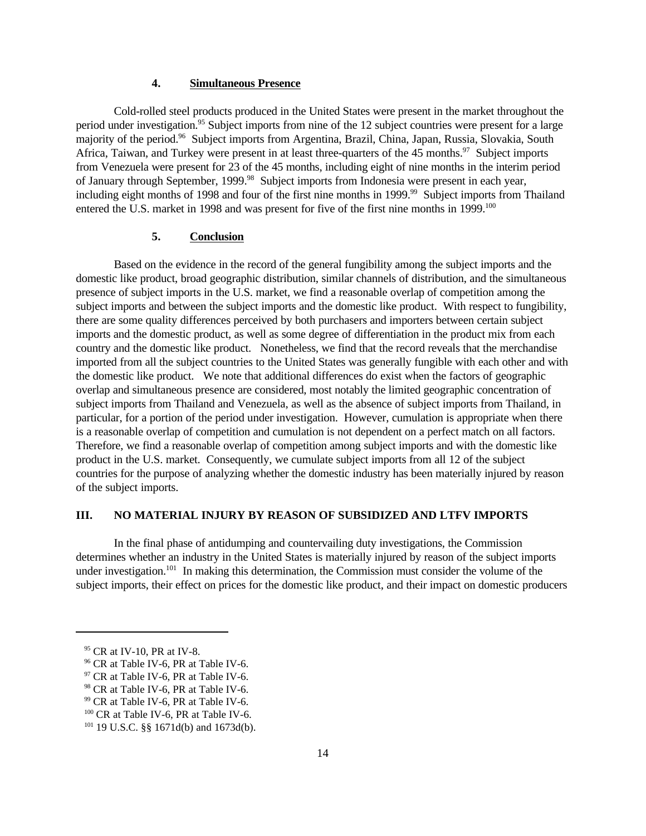# **4. Simultaneous Presence**

Cold-rolled steel products produced in the United States were present in the market throughout the period under investigation.<sup>95</sup> Subject imports from nine of the 12 subject countries were present for a large majority of the period.<sup>96</sup> Subject imports from Argentina, Brazil, China, Japan, Russia, Slovakia, South Africa, Taiwan, and Turkey were present in at least three-quarters of the  $45$  months.<sup>97</sup> Subject imports from Venezuela were present for 23 of the 45 months, including eight of nine months in the interim period of January through September, 1999.<sup>98</sup> Subject imports from Indonesia were present in each year, including eight months of 1998 and four of the first nine months in 1999.<sup>99</sup> Subject imports from Thailand entered the U.S. market in 1998 and was present for five of the first nine months in 1999.<sup>100</sup>

### **5. Conclusion**

Based on the evidence in the record of the general fungibility among the subject imports and the domestic like product, broad geographic distribution, similar channels of distribution, and the simultaneous presence of subject imports in the U.S. market, we find a reasonable overlap of competition among the subject imports and between the subject imports and the domestic like product. With respect to fungibility, there are some quality differences perceived by both purchasers and importers between certain subject imports and the domestic product, as well as some degree of differentiation in the product mix from each country and the domestic like product. Nonetheless, we find that the record reveals that the merchandise imported from all the subject countries to the United States was generally fungible with each other and with the domestic like product. We note that additional differences do exist when the factors of geographic overlap and simultaneous presence are considered, most notably the limited geographic concentration of subject imports from Thailand and Venezuela, as well as the absence of subject imports from Thailand, in particular, for a portion of the period under investigation. However, cumulation is appropriate when there is a reasonable overlap of competition and cumulation is not dependent on a perfect match on all factors. Therefore, we find a reasonable overlap of competition among subject imports and with the domestic like product in the U.S. market. Consequently, we cumulate subject imports from all 12 of the subject countries for the purpose of analyzing whether the domestic industry has been materially injured by reason of the subject imports.

#### **III. NO MATERIAL INJURY BY REASON OF SUBSIDIZED AND LTFV IMPORTS**

In the final phase of antidumping and countervailing duty investigations, the Commission determines whether an industry in the United States is materially injured by reason of the subject imports under investigation.<sup>101</sup> In making this determination, the Commission must consider the volume of the subject imports, their effect on prices for the domestic like product, and their impact on domestic producers

<sup>95</sup> CR at IV-10, PR at IV-8.

<sup>96</sup> CR at Table IV-6, PR at Table IV-6.

 $97$  CR at Table IV-6, PR at Table IV-6.

<sup>&</sup>lt;sup>98</sup> CR at Table IV-6, PR at Table IV-6.

<sup>99</sup> CR at Table IV-6, PR at Table IV-6.

<sup>&</sup>lt;sup>100</sup> CR at Table IV-6, PR at Table IV-6.

<sup>101</sup> 19 U.S.C. §§ 1671d(b) and 1673d(b).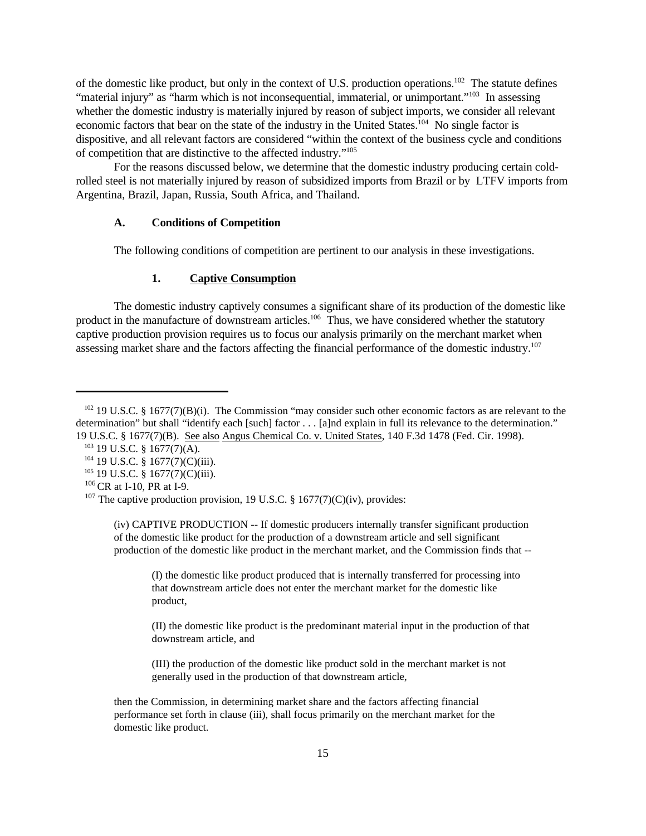of the domestic like product, but only in the context of U.S. production operations.<sup>102</sup> The statute defines "material injury" as "harm which is not inconsequential, immaterial, or unimportant."<sup>103</sup> In assessing whether the domestic industry is materially injured by reason of subject imports, we consider all relevant economic factors that bear on the state of the industry in the United States.<sup>104</sup> No single factor is dispositive, and all relevant factors are considered "within the context of the business cycle and conditions of competition that are distinctive to the affected industry."<sup>105</sup>

For the reasons discussed below, we determine that the domestic industry producing certain coldrolled steel is not materially injured by reason of subsidized imports from Brazil or by LTFV imports from Argentina, Brazil, Japan, Russia, South Africa, and Thailand.

# **A. Conditions of Competition**

The following conditions of competition are pertinent to our analysis in these investigations.

# **1. Captive Consumption**

The domestic industry captively consumes a significant share of its production of the domestic like product in the manufacture of downstream articles.<sup>106</sup> Thus, we have considered whether the statutory captive production provision requires us to focus our analysis primarily on the merchant market when assessing market share and the factors affecting the financial performance of the domestic industry.<sup>107</sup>

(I) the domestic like product produced that is internally transferred for processing into that downstream article does not enter the merchant market for the domestic like product,

(II) the domestic like product is the predominant material input in the production of that downstream article, and

(III) the production of the domestic like product sold in the merchant market is not generally used in the production of that downstream article,

then the Commission, in determining market share and the factors affecting financial performance set forth in clause (iii), shall focus primarily on the merchant market for the domestic like product.

<sup>&</sup>lt;sup>102</sup> 19 U.S.C. § 1677(7)(B)(i). The Commission "may consider such other economic factors as are relevant to the determination" but shall "identify each [such] factor . . . [a]nd explain in full its relevance to the determination." 19 U.S.C. § 1677(7)(B). See also Angus Chemical Co. v. United States, 140 F.3d 1478 (Fed. Cir. 1998).

<sup>103</sup> 19 U.S.C. § 1677(7)(A).

<sup>104</sup> 19 U.S.C. § 1677(7)(C)(iii).

<sup>105</sup> 19 U.S.C. § 1677(7)(C)(iii).

 $106$  CR at I-10, PR at I-9.

<sup>&</sup>lt;sup>107</sup> The captive production provision, 19 U.S.C. § 1677(7)(C)(iv), provides:

<sup>(</sup>iv) CAPTIVE PRODUCTION -- If domestic producers internally transfer significant production of the domestic like product for the production of a downstream article and sell significant production of the domestic like product in the merchant market, and the Commission finds that --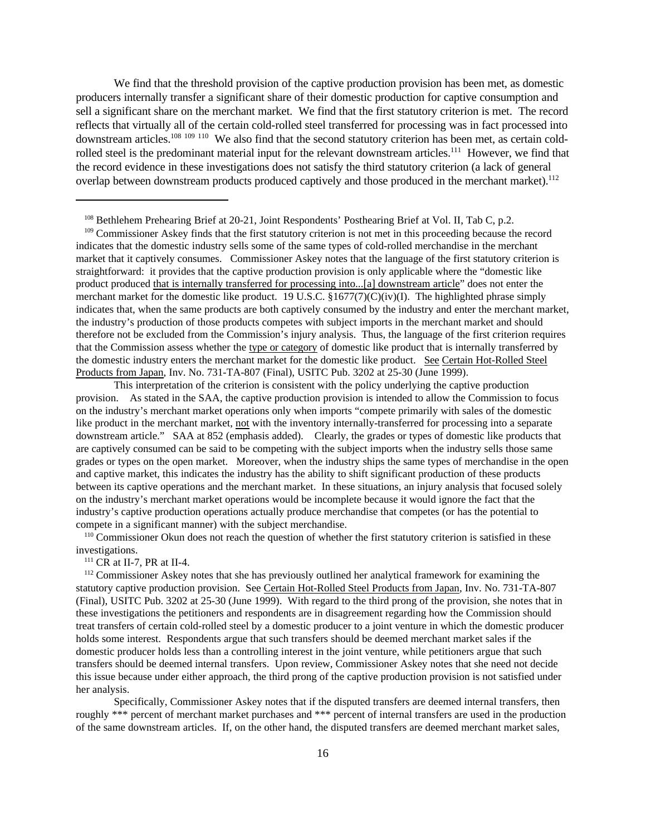We find that the threshold provision of the captive production provision has been met, as domestic producers internally transfer a significant share of their domestic production for captive consumption and sell a significant share on the merchant market. We find that the first statutory criterion is met. The record reflects that virtually all of the certain cold-rolled steel transferred for processing was in fact processed into downstream articles.<sup>108 109 110</sup> We also find that the second statutory criterion has been met, as certain coldrolled steel is the predominant material input for the relevant downstream articles.<sup>111</sup> However, we find that the record evidence in these investigations does not satisfy the third statutory criterion (a lack of general overlap between downstream products produced captively and those produced in the merchant market).<sup>112</sup>

<sup>109</sup> Commissioner Askey finds that the first statutory criterion is not met in this proceeding because the record indicates that the domestic industry sells some of the same types of cold-rolled merchandise in the merchant market that it captively consumes. Commissioner Askey notes that the language of the first statutory criterion is straightforward: it provides that the captive production provision is only applicable where the "domestic like product produced that is internally transferred for processing into...[a] downstream article" does not enter the merchant market for the domestic like product. 19 U.S.C. §1677(7)(C)(iv)(I). The highlighted phrase simply indicates that, when the same products are both captively consumed by the industry and enter the merchant market, the industry's production of those products competes with subject imports in the merchant market and should therefore not be excluded from the Commission's injury analysis. Thus, the language of the first criterion requires that the Commission assess whether the type or category of domestic like product that is internally transferred by the domestic industry enters the merchant market for the domestic like product. See Certain Hot-Rolled Steel Products from Japan, Inv. No. 731-TA-807 (Final), USITC Pub. 3202 at 25-30 (June 1999).

This interpretation of the criterion is consistent with the policy underlying the captive production provision. As stated in the SAA, the captive production provision is intended to allow the Commission to focus on the industry's merchant market operations only when imports "compete primarily with sales of the domestic like product in the merchant market, not with the inventory internally-transferred for processing into a separate downstream article." SAA at 852 (emphasis added). Clearly, the grades or types of domestic like products that are captively consumed can be said to be competing with the subject imports when the industry sells those same grades or types on the open market. Moreover, when the industry ships the same types of merchandise in the open and captive market, this indicates the industry has the ability to shift significant production of these products between its captive operations and the merchant market. In these situations, an injury analysis that focused solely on the industry's merchant market operations would be incomplete because it would ignore the fact that the industry's captive production operations actually produce merchandise that competes (or has the potential to compete in a significant manner) with the subject merchandise.

<sup>110</sup> Commissioner Okun does not reach the question of whether the first statutory criterion is satisfied in these investigations.

 $111$  CR at II-7, PR at II-4.

<sup>112</sup> Commissioner Askey notes that she has previously outlined her analytical framework for examining the statutory captive production provision. See Certain Hot-Rolled Steel Products from Japan, Inv. No. 731-TA-807 (Final), USITC Pub. 3202 at 25-30 (June 1999). With regard to the third prong of the provision, she notes that in these investigations the petitioners and respondents are in disagreement regarding how the Commission should treat transfers of certain cold-rolled steel by a domestic producer to a joint venture in which the domestic producer holds some interest. Respondents argue that such transfers should be deemed merchant market sales if the domestic producer holds less than a controlling interest in the joint venture, while petitioners argue that such transfers should be deemed internal transfers. Upon review, Commissioner Askey notes that she need not decide this issue because under either approach, the third prong of the captive production provision is not satisfied under her analysis.

Specifically, Commissioner Askey notes that if the disputed transfers are deemed internal transfers, then roughly \*\*\* percent of merchant market purchases and \*\*\* percent of internal transfers are used in the production of the same downstream articles. If, on the other hand, the disputed transfers are deemed merchant market sales,

<sup>&</sup>lt;sup>108</sup> Bethlehem Prehearing Brief at 20-21, Joint Respondents' Posthearing Brief at Vol. II, Tab C, p.2.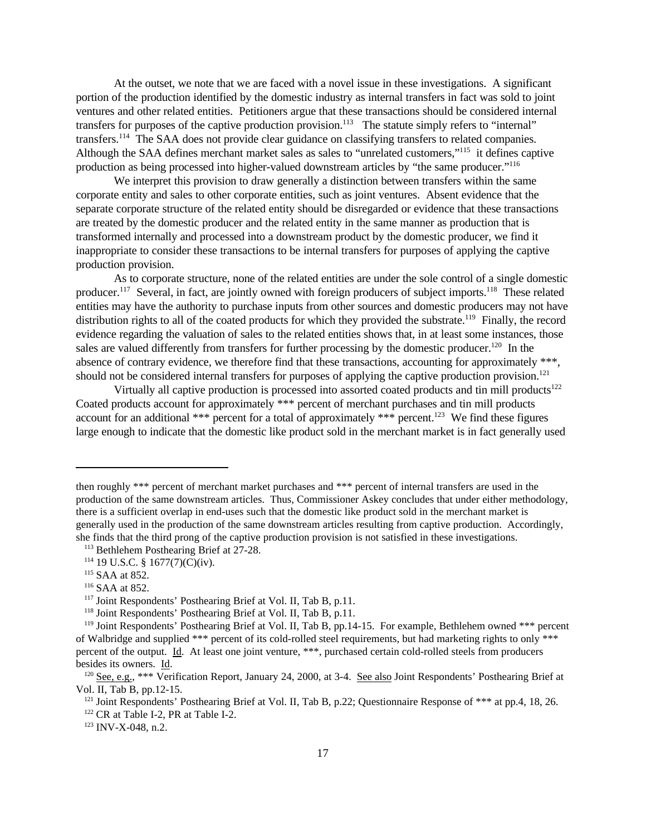At the outset, we note that we are faced with a novel issue in these investigations. A significant portion of the production identified by the domestic industry as internal transfers in fact was sold to joint ventures and other related entities. Petitioners argue that these transactions should be considered internal transfers for purposes of the captive production provision.<sup>113</sup> The statute simply refers to "internal" transfers.<sup>114</sup> The SAA does not provide clear guidance on classifying transfers to related companies. Although the SAA defines merchant market sales as sales to "unrelated customers,"<sup>115</sup> it defines captive production as being processed into higher-valued downstream articles by "the same producer."<sup>116</sup>

We interpret this provision to draw generally a distinction between transfers within the same corporate entity and sales to other corporate entities, such as joint ventures. Absent evidence that the separate corporate structure of the related entity should be disregarded or evidence that these transactions are treated by the domestic producer and the related entity in the same manner as production that is transformed internally and processed into a downstream product by the domestic producer, we find it inappropriate to consider these transactions to be internal transfers for purposes of applying the captive production provision.

As to corporate structure, none of the related entities are under the sole control of a single domestic producer.<sup>117</sup> Several, in fact, are jointly owned with foreign producers of subject imports.<sup>118</sup> These related entities may have the authority to purchase inputs from other sources and domestic producers may not have distribution rights to all of the coated products for which they provided the substrate.<sup>119</sup> Finally, the record evidence regarding the valuation of sales to the related entities shows that, in at least some instances, those sales are valued differently from transfers for further processing by the domestic producer.<sup>120</sup> In the absence of contrary evidence, we therefore find that these transactions, accounting for approximately \*\*\*, should not be considered internal transfers for purposes of applying the captive production provision.<sup>121</sup>

Virtually all captive production is processed into assorted coated products and tin mill products<sup>122</sup> Coated products account for approximately \*\*\* percent of merchant purchases and tin mill products account for an additional \*\*\* percent for a total of approximately \*\*\* percent.<sup>123</sup> We find these figures large enough to indicate that the domestic like product sold in the merchant market is in fact generally used

then roughly \*\*\* percent of merchant market purchases and \*\*\* percent of internal transfers are used in the production of the same downstream articles. Thus, Commissioner Askey concludes that under either methodology, there is a sufficient overlap in end-uses such that the domestic like product sold in the merchant market is generally used in the production of the same downstream articles resulting from captive production. Accordingly, she finds that the third prong of the captive production provision is not satisfied in these investigations.

<sup>113</sup> Bethlehem Posthearing Brief at 27-28.

<sup>114</sup> 19 U.S.C. § 1677(7)(C)(iv).

<sup>115</sup> SAA at 852.

<sup>116</sup> SAA at 852.

<sup>117</sup> Joint Respondents' Posthearing Brief at Vol. II, Tab B, p.11.

<sup>118</sup> Joint Respondents' Posthearing Brief at Vol. II, Tab B, p.11.

<sup>&</sup>lt;sup>119</sup> Joint Respondents' Posthearing Brief at Vol. II, Tab B, pp.14-15. For example, Bethlehem owned \*\*\* percent of Walbridge and supplied \*\*\* percent of its cold-rolled steel requirements, but had marketing rights to only \*\*\* percent of the output. Id. At least one joint venture, \*\*\*, purchased certain cold-rolled steels from producers besides its owners. Id.

<sup>&</sup>lt;sup>120</sup> See, e.g., \*\*\* Verification Report, January 24, 2000, at 3-4. See also Joint Respondents' Posthearing Brief at Vol. II, Tab B, pp.12-15.

<sup>&</sup>lt;sup>121</sup> Joint Respondents' Posthearing Brief at Vol. II, Tab B, p.22; Questionnaire Response of \*\*\* at pp.4, 18, 26.

<sup>&</sup>lt;sup>122</sup> CR at Table I-2, PR at Table I-2.

<sup>123</sup> INV-X-048, n.2.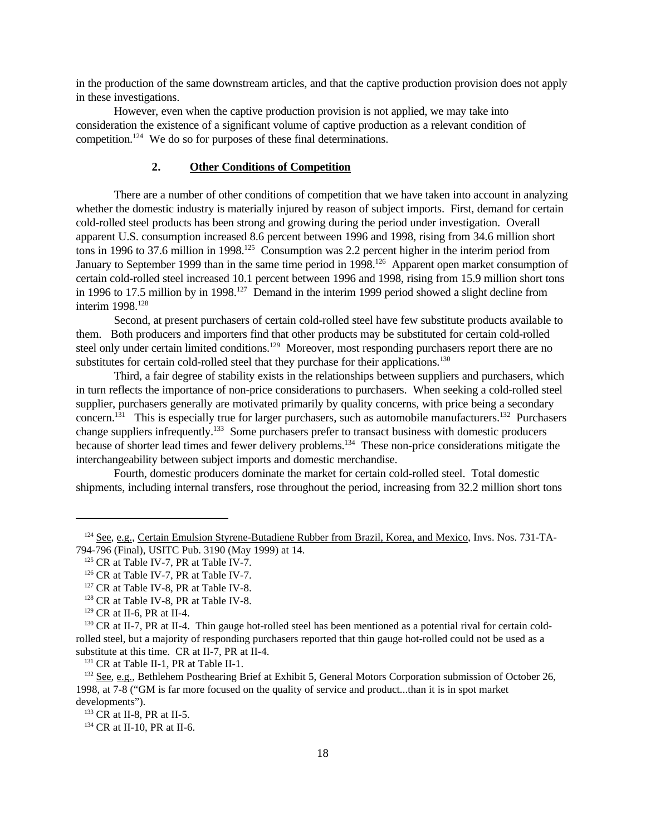in the production of the same downstream articles, and that the captive production provision does not apply in these investigations.

However, even when the captive production provision is not applied, we may take into consideration the existence of a significant volume of captive production as a relevant condition of competition.<sup>124</sup> We do so for purposes of these final determinations.

#### **2. Other Conditions of Competition**

There are a number of other conditions of competition that we have taken into account in analyzing whether the domestic industry is materially injured by reason of subject imports. First, demand for certain cold-rolled steel products has been strong and growing during the period under investigation. Overall apparent U.S. consumption increased 8.6 percent between 1996 and 1998, rising from 34.6 million short tons in 1996 to 37.6 million in 1998.<sup>125</sup> Consumption was 2.2 percent higher in the interim period from January to September 1999 than in the same time period in 1998.<sup>126</sup> Apparent open market consumption of certain cold-rolled steel increased 10.1 percent between 1996 and 1998, rising from 15.9 million short tons in 1996 to 17.5 million by in 1998.<sup>127</sup> Demand in the interim 1999 period showed a slight decline from interim 1998.<sup>128</sup>

Second, at present purchasers of certain cold-rolled steel have few substitute products available to them. Both producers and importers find that other products may be substituted for certain cold-rolled steel only under certain limited conditions.<sup>129</sup> Moreover, most responding purchasers report there are no substitutes for certain cold-rolled steel that they purchase for their applications.<sup>130</sup>

Third, a fair degree of stability exists in the relationships between suppliers and purchasers, which in turn reflects the importance of non-price considerations to purchasers. When seeking a cold-rolled steel supplier, purchasers generally are motivated primarily by quality concerns, with price being a secondary concern.<sup>131</sup> This is especially true for larger purchasers, such as automobile manufacturers.<sup>132</sup> Purchasers change suppliers infrequently.<sup>133</sup> Some purchasers prefer to transact business with domestic producers because of shorter lead times and fewer delivery problems.<sup>134</sup> These non-price considerations mitigate the interchangeability between subject imports and domestic merchandise.

Fourth, domestic producers dominate the market for certain cold-rolled steel. Total domestic shipments, including internal transfers, rose throughout the period, increasing from 32.2 million short tons

<sup>&</sup>lt;sup>124</sup> See, e.g., Certain Emulsion Styrene-Butadiene Rubber from Brazil, Korea, and Mexico, Invs. Nos. 731-TA-794-796 (Final), USITC Pub. 3190 (May 1999) at 14.

<sup>&</sup>lt;sup>125</sup> CR at Table IV-7, PR at Table IV-7.

<sup>&</sup>lt;sup>126</sup> CR at Table IV-7, PR at Table IV-7.

<sup>&</sup>lt;sup>127</sup> CR at Table IV-8, PR at Table IV-8.

<sup>&</sup>lt;sup>128</sup> CR at Table IV-8, PR at Table IV-8.

<sup>129</sup> CR at II-6, PR at II-4.

<sup>&</sup>lt;sup>130</sup> CR at II-7, PR at II-4. Thin gauge hot-rolled steel has been mentioned as a potential rival for certain coldrolled steel, but a majority of responding purchasers reported that thin gauge hot-rolled could not be used as a substitute at this time. CR at II-7, PR at II-4.

<sup>&</sup>lt;sup>131</sup> CR at Table II-1, PR at Table II-1.

<sup>&</sup>lt;sup>132</sup> See, e.g., Bethlehem Posthearing Brief at Exhibit 5, General Motors Corporation submission of October 26, 1998, at 7-8 ("GM is far more focused on the quality of service and product...than it is in spot market developments").

<sup>&</sup>lt;sup>133</sup> CR at II-8, PR at II-5.

<sup>&</sup>lt;sup>134</sup> CR at II-10, PR at II-6.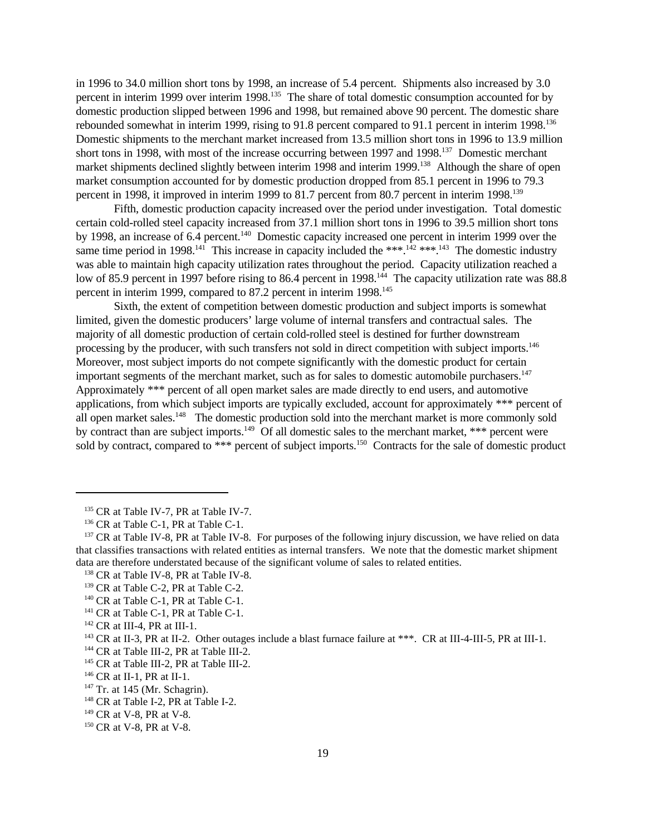in 1996 to 34.0 million short tons by 1998, an increase of 5.4 percent. Shipments also increased by 3.0 percent in interim 1999 over interim 1998.<sup>135</sup> The share of total domestic consumption accounted for by domestic production slipped between 1996 and 1998, but remained above 90 percent. The domestic share rebounded somewhat in interim 1999, rising to 91.8 percent compared to 91.1 percent in interim 1998.<sup>136</sup> Domestic shipments to the merchant market increased from 13.5 million short tons in 1996 to 13.9 million short tons in 1998, with most of the increase occurring between 1997 and 1998.<sup>137</sup> Domestic merchant market shipments declined slightly between interim 1998 and interim 1999.<sup>138</sup> Although the share of open market consumption accounted for by domestic production dropped from 85.1 percent in 1996 to 79.3 percent in 1998, it improved in interim 1999 to 81.7 percent from 80.7 percent in interim 1998.<sup>139</sup>

Fifth, domestic production capacity increased over the period under investigation. Total domestic certain cold-rolled steel capacity increased from 37.1 million short tons in 1996 to 39.5 million short tons by 1998, an increase of 6.4 percent.<sup>140</sup> Domestic capacity increased one percent in interim 1999 over the same time period in 1998.<sup>141</sup> This increase in capacity included the \*\*\*.<sup>142</sup> \*\*\*.<sup>143</sup> The domestic industry was able to maintain high capacity utilization rates throughout the period. Capacity utilization reached a low of 85.9 percent in 1997 before rising to 86.4 percent in 1998.<sup>144</sup> The capacity utilization rate was 88.8 percent in interim 1999, compared to 87.2 percent in interim 1998.<sup>145</sup>

Sixth, the extent of competition between domestic production and subject imports is somewhat limited, given the domestic producers' large volume of internal transfers and contractual sales. The majority of all domestic production of certain cold-rolled steel is destined for further downstream processing by the producer, with such transfers not sold in direct competition with subject imports.<sup>146</sup> Moreover, most subject imports do not compete significantly with the domestic product for certain important segments of the merchant market, such as for sales to domestic automobile purchasers.<sup>147</sup> Approximately \*\*\* percent of all open market sales are made directly to end users, and automotive applications, from which subject imports are typically excluded, account for approximately \*\*\* percent of all open market sales.<sup>148</sup> The domestic production sold into the merchant market is more commonly sold by contract than are subject imports.<sup>149</sup> Of all domestic sales to the merchant market, \*\*\* percent were sold by contract, compared to \*\*\* percent of subject imports.<sup>150</sup> Contracts for the sale of domestic product

<sup>&</sup>lt;sup>135</sup> CR at Table IV-7, PR at Table IV-7.

<sup>&</sup>lt;sup>136</sup> CR at Table C-1, PR at Table C-1.

<sup>&</sup>lt;sup>137</sup> CR at Table IV-8, PR at Table IV-8. For purposes of the following injury discussion, we have relied on data that classifies transactions with related entities as internal transfers. We note that the domestic market shipment data are therefore understated because of the significant volume of sales to related entities.

<sup>&</sup>lt;sup>138</sup> CR at Table IV-8, PR at Table IV-8.

<sup>&</sup>lt;sup>139</sup> CR at Table C-2, PR at Table C-2.

<sup>&</sup>lt;sup>140</sup> CR at Table C-1, PR at Table C-1.

<sup>&</sup>lt;sup>141</sup> CR at Table C-1, PR at Table C-1.

 $142$  CR at III-4, PR at III-1.

<sup>&</sup>lt;sup>143</sup> CR at II-3, PR at II-2. Other outages include a blast furnace failure at \*\*\*. CR at III-4-III-5, PR at III-1.

<sup>&</sup>lt;sup>144</sup> CR at Table III-2, PR at Table III-2.

<sup>&</sup>lt;sup>145</sup> CR at Table III-2, PR at Table III-2.

<sup>146</sup> CR at II-1, PR at II-1.

 $147$  Tr. at 145 (Mr. Schagrin).

<sup>&</sup>lt;sup>148</sup> CR at Table I-2, PR at Table I-2.

<sup>&</sup>lt;sup>149</sup> CR at V-8, PR at V-8.

<sup>&</sup>lt;sup>150</sup> CR at V-8, PR at V-8.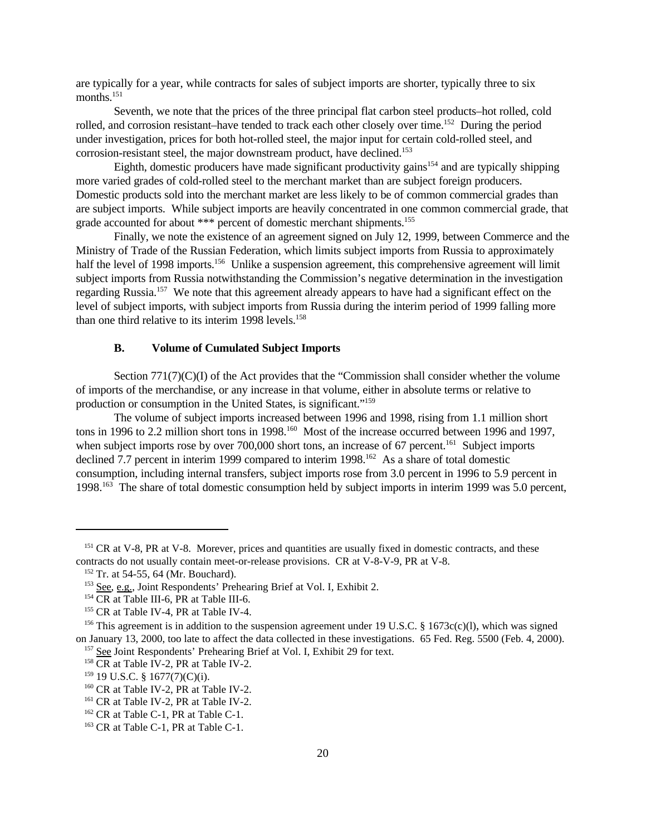are typically for a year, while contracts for sales of subject imports are shorter, typically three to six months.<sup>151</sup>

Seventh, we note that the prices of the three principal flat carbon steel products–hot rolled, cold rolled, and corrosion resistant–have tended to track each other closely over time.<sup>152</sup> During the period under investigation, prices for both hot-rolled steel, the major input for certain cold-rolled steel, and corrosion-resistant steel, the major downstream product, have declined.<sup>153</sup>

Eighth, domestic producers have made significant productivity gains<sup>154</sup> and are typically shipping more varied grades of cold-rolled steel to the merchant market than are subject foreign producers. Domestic products sold into the merchant market are less likely to be of common commercial grades than are subject imports. While subject imports are heavily concentrated in one common commercial grade, that grade accounted for about \*\*\* percent of domestic merchant shipments.<sup>155</sup>

Finally, we note the existence of an agreement signed on July 12, 1999, between Commerce and the Ministry of Trade of the Russian Federation, which limits subject imports from Russia to approximately half the level of 1998 imports.<sup>156</sup> Unlike a suspension agreement, this comprehensive agreement will limit subject imports from Russia notwithstanding the Commission's negative determination in the investigation regarding Russia.<sup>157</sup> We note that this agreement already appears to have had a significant effect on the level of subject imports, with subject imports from Russia during the interim period of 1999 falling more than one third relative to its interim  $1998$  levels.<sup>158</sup>

### **B. Volume of Cumulated Subject Imports**

Section 771(7)(C)(I) of the Act provides that the "Commission shall consider whether the volume of imports of the merchandise, or any increase in that volume, either in absolute terms or relative to production or consumption in the United States, is significant."<sup>159</sup>

The volume of subject imports increased between 1996 and 1998, rising from 1.1 million short tons in 1996 to 2.2 million short tons in 1998.<sup>160</sup> Most of the increase occurred between 1996 and 1997, when subject imports rose by over 700,000 short tons, an increase of 67 percent.<sup>161</sup> Subject imports declined 7.7 percent in interim 1999 compared to interim  $1998$ <sup>162</sup> As a share of total domestic consumption, including internal transfers, subject imports rose from 3.0 percent in 1996 to 5.9 percent in 1998.163 The share of total domestic consumption held by subject imports in interim 1999 was 5.0 percent,

<sup>&</sup>lt;sup>151</sup> CR at V-8, PR at V-8. Morever, prices and quantities are usually fixed in domestic contracts, and these contracts do not usually contain meet-or-release provisions. CR at V-8-V-9, PR at V-8.

<sup>&</sup>lt;sup>152</sup> Tr. at 54-55, 64 (Mr. Bouchard).

<sup>&</sup>lt;sup>153</sup> See, e.g., Joint Respondents' Prehearing Brief at Vol. I, Exhibit 2.

 $154 \overline{\text{CR}}$  at Table III-6, PR at Table III-6.

<sup>&</sup>lt;sup>155</sup> CR at Table IV-4, PR at Table IV-4.

<sup>&</sup>lt;sup>156</sup> This agreement is in addition to the suspension agreement under 19 U.S.C. § 1673c(c)(l), which was signed on January 13, 2000, too late to affect the data collected in these investigations. 65 Fed. Reg. 5500 (Feb. 4, 2000). <sup>157</sup> See Joint Respondents' Prehearing Brief at Vol. I, Exhibit 29 for text.

<sup>&</sup>lt;sup>158</sup> CR at Table IV-2, PR at Table IV-2.

<sup>159</sup> 19 U.S.C. § 1677(7)(C)(i).

<sup>&</sup>lt;sup>160</sup> CR at Table IV-2, PR at Table IV-2.

<sup>&</sup>lt;sup>161</sup> CR at Table IV-2, PR at Table IV-2.

<sup>&</sup>lt;sup>162</sup> CR at Table C-1, PR at Table C-1.

<sup>&</sup>lt;sup>163</sup> CR at Table C-1, PR at Table C-1.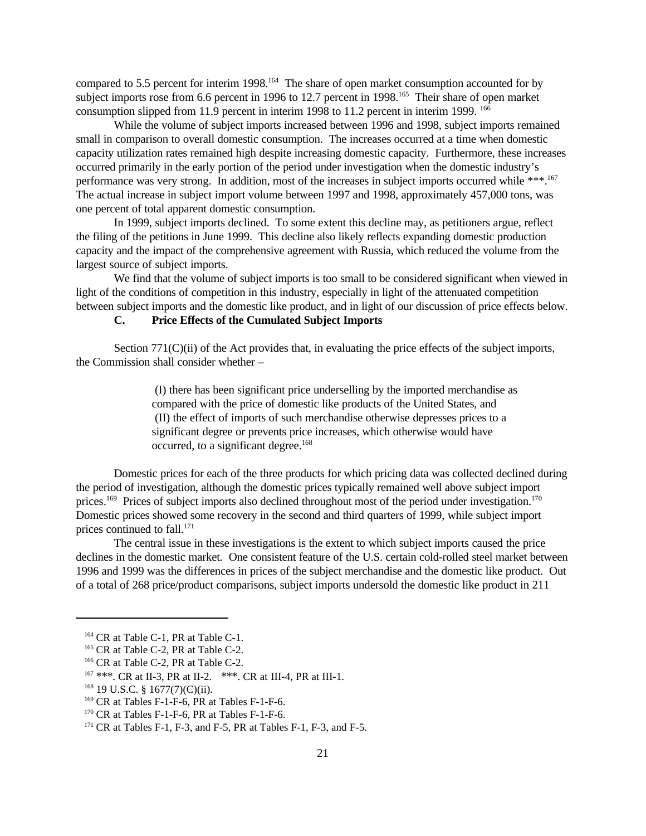compared to 5.5 percent for interim 1998.<sup>164</sup> The share of open market consumption accounted for by subject imports rose from 6.6 percent in 1996 to 12.7 percent in 1998.<sup>165</sup> Their share of open market consumption slipped from 11.9 percent in interim 1998 to 11.2 percent in interim 1999. <sup>166</sup>

While the volume of subject imports increased between 1996 and 1998, subject imports remained small in comparison to overall domestic consumption. The increases occurred at a time when domestic capacity utilization rates remained high despite increasing domestic capacity. Furthermore, these increases occurred primarily in the early portion of the period under investigation when the domestic industry's performance was very strong. In addition, most of the increases in subject imports occurred while \*\*\*.<sup>167</sup> The actual increase in subject import volume between 1997 and 1998, approximately 457,000 tons, was one percent of total apparent domestic consumption.

In 1999, subject imports declined. To some extent this decline may, as petitioners argue, reflect the filing of the petitions in June 1999. This decline also likely reflects expanding domestic production capacity and the impact of the comprehensive agreement with Russia, which reduced the volume from the largest source of subject imports.

We find that the volume of subject imports is too small to be considered significant when viewed in light of the conditions of competition in this industry, especially in light of the attenuated competition between subject imports and the domestic like product, and in light of our discussion of price effects below.

# **C. Price Effects of the Cumulated Subject Imports**

Section 771(C)(ii) of the Act provides that, in evaluating the price effects of the subject imports, the Commission shall consider whether –

> (I) there has been significant price underselling by the imported merchandise as compared with the price of domestic like products of the United States, and (II) the effect of imports of such merchandise otherwise depresses prices to a significant degree or prevents price increases, which otherwise would have occurred, to a significant degree.<sup>168</sup>

Domestic prices for each of the three products for which pricing data was collected declined during the period of investigation, although the domestic prices typically remained well above subject import prices.<sup>169</sup> Prices of subject imports also declined throughout most of the period under investigation.<sup>170</sup> Domestic prices showed some recovery in the second and third quarters of 1999, while subject import prices continued to fall. $^{171}$ 

The central issue in these investigations is the extent to which subject imports caused the price declines in the domestic market. One consistent feature of the U.S. certain cold-rolled steel market between 1996 and 1999 was the differences in prices of the subject merchandise and the domestic like product. Out of a total of 268 price/product comparisons, subject imports undersold the domestic like product in 211

<sup>&</sup>lt;sup>164</sup> CR at Table C-1, PR at Table C-1.

<sup>&</sup>lt;sup>165</sup> CR at Table C-2, PR at Table C-2.

<sup>&</sup>lt;sup>166</sup> CR at Table C-2, PR at Table C-2.

<sup>167</sup> \*\*\*. CR at II-3, PR at II-2. \*\*\*. CR at III-4, PR at III-1.

 $168$  19 U.S.C. § 1677(7)(C)(ii).

 $169$  CR at Tables F-1-F-6, PR at Tables F-1-F-6.

<sup>170</sup> CR at Tables F-1-F-6, PR at Tables F-1-F-6.

 $171$  CR at Tables F-1, F-3, and F-5, PR at Tables F-1, F-3, and F-5.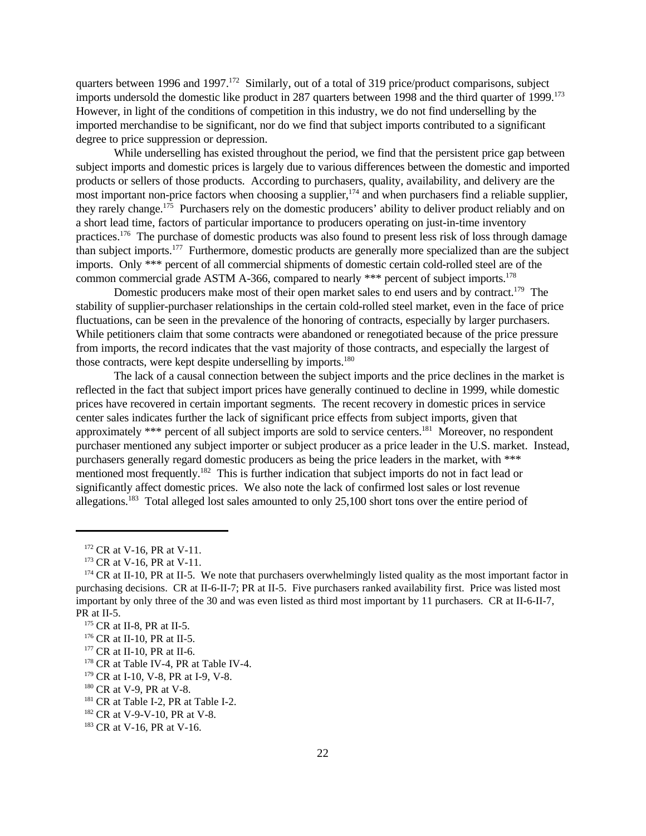quarters between 1996 and 1997.<sup>172</sup> Similarly, out of a total of 319 price/product comparisons, subject imports undersold the domestic like product in 287 quarters between 1998 and the third quarter of 1999.<sup>173</sup> However, in light of the conditions of competition in this industry, we do not find underselling by the imported merchandise to be significant, nor do we find that subject imports contributed to a significant degree to price suppression or depression.

While underselling has existed throughout the period, we find that the persistent price gap between subject imports and domestic prices is largely due to various differences between the domestic and imported products or sellers of those products. According to purchasers, quality, availability, and delivery are the most important non-price factors when choosing a supplier,  $174$  and when purchasers find a reliable supplier, they rarely change.<sup>175</sup> Purchasers rely on the domestic producers' ability to deliver product reliably and on a short lead time, factors of particular importance to producers operating on just-in-time inventory practices.<sup>176</sup> The purchase of domestic products was also found to present less risk of loss through damage than subject imports.<sup>177</sup> Furthermore, domestic products are generally more specialized than are the subject imports. Only \*\*\* percent of all commercial shipments of domestic certain cold-rolled steel are of the common commercial grade ASTM A-366, compared to nearly \*\*\* percent of subject imports.<sup>178</sup>

Domestic producers make most of their open market sales to end users and by contract.<sup>179</sup> The stability of supplier-purchaser relationships in the certain cold-rolled steel market, even in the face of price fluctuations, can be seen in the prevalence of the honoring of contracts, especially by larger purchasers. While petitioners claim that some contracts were abandoned or renegotiated because of the price pressure from imports, the record indicates that the vast majority of those contracts, and especially the largest of those contracts, were kept despite underselling by imports.<sup>180</sup>

The lack of a causal connection between the subject imports and the price declines in the market is reflected in the fact that subject import prices have generally continued to decline in 1999, while domestic prices have recovered in certain important segments. The recent recovery in domestic prices in service center sales indicates further the lack of significant price effects from subject imports, given that approximately \*\*\* percent of all subject imports are sold to service centers.<sup>181</sup> Moreover, no respondent purchaser mentioned any subject importer or subject producer as a price leader in the U.S. market. Instead, purchasers generally regard domestic producers as being the price leaders in the market, with \*\*\* mentioned most frequently.<sup>182</sup> This is further indication that subject imports do not in fact lead or significantly affect domestic prices. We also note the lack of confirmed lost sales or lost revenue allegations.183 Total alleged lost sales amounted to only 25,100 short tons over the entire period of

<sup>172</sup> CR at V-16, PR at V-11.

<sup>&</sup>lt;sup>173</sup> CR at V-16, PR at V-11.

<sup>&</sup>lt;sup>174</sup> CR at II-10, PR at II-5. We note that purchasers overwhelmingly listed quality as the most important factor in purchasing decisions. CR at II-6-II-7; PR at II-5. Five purchasers ranked availability first. Price was listed most important by only three of the 30 and was even listed as third most important by 11 purchasers. CR at II-6-II-7, PR at II-5.

<sup>175</sup> CR at II-8, PR at II-5.

<sup>176</sup> CR at II-10, PR at II-5.

<sup>&</sup>lt;sup>177</sup> CR at II-10, PR at II-6.

<sup>&</sup>lt;sup>178</sup> CR at Table IV-4, PR at Table IV-4.

<sup>179</sup> CR at I-10, V-8, PR at I-9, V-8.

<sup>&</sup>lt;sup>180</sup> CR at V-9, PR at V-8.

<sup>&</sup>lt;sup>181</sup> CR at Table I-2, PR at Table I-2.

<sup>182</sup> CR at V-9-V-10, PR at V-8.

<sup>&</sup>lt;sup>183</sup> CR at V-16, PR at V-16.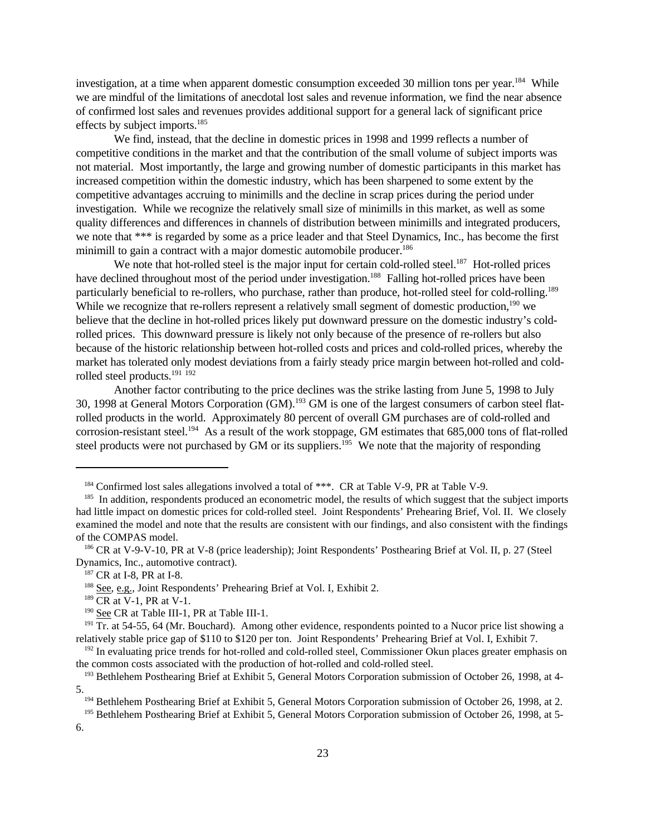investigation, at a time when apparent domestic consumption exceeded 30 million tons per year.<sup>184</sup> While we are mindful of the limitations of anecdotal lost sales and revenue information, we find the near absence of confirmed lost sales and revenues provides additional support for a general lack of significant price effects by subject imports.<sup>185</sup>

We find, instead, that the decline in domestic prices in 1998 and 1999 reflects a number of competitive conditions in the market and that the contribution of the small volume of subject imports was not material. Most importantly, the large and growing number of domestic participants in this market has increased competition within the domestic industry, which has been sharpened to some extent by the competitive advantages accruing to minimills and the decline in scrap prices during the period under investigation. While we recognize the relatively small size of minimills in this market, as well as some quality differences and differences in channels of distribution between minimills and integrated producers, we note that \*\*\* is regarded by some as a price leader and that Steel Dynamics, Inc., has become the first minimill to gain a contract with a major domestic automobile producer.<sup>186</sup>

We note that hot-rolled steel is the major input for certain cold-rolled steel.<sup>187</sup> Hot-rolled prices have declined throughout most of the period under investigation.<sup>188</sup> Falling hot-rolled prices have been particularly beneficial to re-rollers, who purchase, rather than produce, hot-rolled steel for cold-rolling.<sup>189</sup> While we recognize that re-rollers represent a relatively small segment of domestic production,<sup>190</sup> we believe that the decline in hot-rolled prices likely put downward pressure on the domestic industry's coldrolled prices. This downward pressure is likely not only because of the presence of re-rollers but also because of the historic relationship between hot-rolled costs and prices and cold-rolled prices, whereby the market has tolerated only modest deviations from a fairly steady price margin between hot-rolled and coldrolled steel products.<sup>191</sup> <sup>192</sup>

Another factor contributing to the price declines was the strike lasting from June 5, 1998 to July 30, 1998 at General Motors Corporation (GM).<sup>193</sup> GM is one of the largest consumers of carbon steel flatrolled products in the world. Approximately 80 percent of overall GM purchases are of cold-rolled and corrosion-resistant steel.<sup>194</sup> As a result of the work stoppage, GM estimates that 685,000 tons of flat-rolled steel products were not purchased by GM or its suppliers.<sup>195</sup> We note that the majority of responding

 $189$  CR at V-1, PR at V-1.

<sup>&</sup>lt;sup>184</sup> Confirmed lost sales allegations involved a total of \*\*\*. CR at Table V-9, PR at Table V-9.

<sup>&</sup>lt;sup>185</sup> In addition, respondents produced an econometric model, the results of which suggest that the subject imports had little impact on domestic prices for cold-rolled steel. Joint Respondents' Prehearing Brief, Vol. II. We closely examined the model and note that the results are consistent with our findings, and also consistent with the findings of the COMPAS model.

<sup>186</sup> CR at V-9-V-10, PR at V-8 (price leadership); Joint Respondents' Posthearing Brief at Vol. II, p. 27 (Steel Dynamics, Inc., automotive contract).

<sup>187</sup> CR at I-8, PR at I-8.

<sup>188</sup> See, e.g., Joint Respondents' Prehearing Brief at Vol. I, Exhibit 2.

<sup>&</sup>lt;sup>190</sup> See CR at Table III-1, PR at Table III-1.

 $191$  Tr. at 54-55, 64 (Mr. Bouchard). Among other evidence, respondents pointed to a Nucor price list showing a relatively stable price gap of \$110 to \$120 per ton. Joint Respondents' Prehearing Brief at Vol. I, Exhibit 7.

<sup>&</sup>lt;sup>192</sup> In evaluating price trends for hot-rolled and cold-rolled steel, Commissioner Okun places greater emphasis on the common costs associated with the production of hot-rolled and cold-rolled steel.

<sup>193</sup> Bethlehem Posthearing Brief at Exhibit 5, General Motors Corporation submission of October 26, 1998, at 4- 5.

<sup>194</sup> Bethlehem Posthearing Brief at Exhibit 5, General Motors Corporation submission of October 26, 1998, at 2.

<sup>&</sup>lt;sup>195</sup> Bethlehem Posthearing Brief at Exhibit 5, General Motors Corporation submission of October 26, 1998, at 5-

<sup>6.</sup>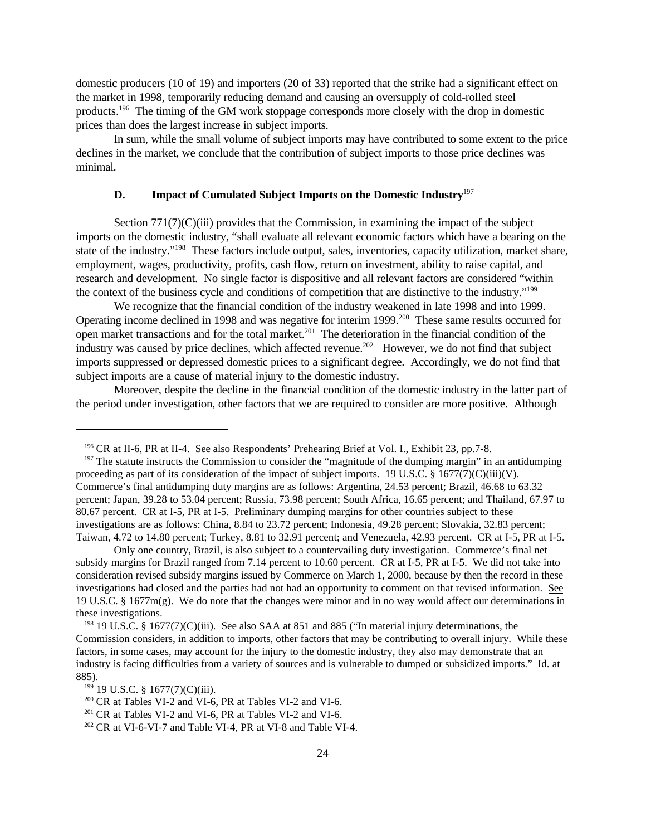domestic producers (10 of 19) and importers (20 of 33) reported that the strike had a significant effect on the market in 1998, temporarily reducing demand and causing an oversupply of cold-rolled steel products.<sup>196</sup> The timing of the GM work stoppage corresponds more closely with the drop in domestic prices than does the largest increase in subject imports.

In sum, while the small volume of subject imports may have contributed to some extent to the price declines in the market, we conclude that the contribution of subject imports to those price declines was minimal.

# **D. Impact of Cumulated Subject Imports on the Domestic Industry**<sup>197</sup>

Section 771(7)(C)(iii) provides that the Commission, in examining the impact of the subject imports on the domestic industry, "shall evaluate all relevant economic factors which have a bearing on the state of the industry."<sup>198</sup> These factors include output, sales, inventories, capacity utilization, market share, employment, wages, productivity, profits, cash flow, return on investment, ability to raise capital, and research and development. No single factor is dispositive and all relevant factors are considered "within the context of the business cycle and conditions of competition that are distinctive to the industry."<sup>199</sup>

We recognize that the financial condition of the industry weakened in late 1998 and into 1999. Operating income declined in 1998 and was negative for interim 1999.<sup>200</sup> These same results occurred for open market transactions and for the total market.<sup>201</sup> The deterioration in the financial condition of the industry was caused by price declines, which affected revenue.<sup>202</sup> However, we do not find that subject imports suppressed or depressed domestic prices to a significant degree. Accordingly, we do not find that subject imports are a cause of material injury to the domestic industry.

Moreover, despite the decline in the financial condition of the domestic industry in the latter part of the period under investigation, other factors that we are required to consider are more positive. Although

Only one country, Brazil, is also subject to a countervailing duty investigation. Commerce's final net subsidy margins for Brazil ranged from 7.14 percent to 10.60 percent. CR at I-5, PR at I-5. We did not take into consideration revised subsidy margins issued by Commerce on March 1, 2000, because by then the record in these investigations had closed and the parties had not had an opportunity to comment on that revised information. See 19 U.S.C. § 1677m(g). We do note that the changes were minor and in no way would affect our determinations in these investigations.

<sup>196</sup> CR at II-6, PR at II-4. See also Respondents' Prehearing Brief at Vol. I., Exhibit 23, pp.7-8.

 $197$  The statute instructs the Commission to consider the "magnitude of the dumping margin" in an antidumping proceeding as part of its consideration of the impact of subject imports. 19 U.S.C. § 1677(7)(C)(iii)(V). Commerce's final antidumping duty margins are as follows: Argentina, 24.53 percent; Brazil, 46.68 to 63.32 percent; Japan, 39.28 to 53.04 percent; Russia, 73.98 percent; South Africa, 16.65 percent; and Thailand, 67.97 to 80.67 percent. CR at I-5, PR at I-5. Preliminary dumping margins for other countries subject to these investigations are as follows: China, 8.84 to 23.72 percent; Indonesia, 49.28 percent; Slovakia, 32.83 percent; Taiwan, 4.72 to 14.80 percent; Turkey, 8.81 to 32.91 percent; and Venezuela, 42.93 percent. CR at I-5, PR at I-5.

<sup>198</sup> 19 U.S.C. § 1677(7)(C)(iii). See also SAA at 851 and 885 ("In material injury determinations, the Commission considers, in addition to imports, other factors that may be contributing to overall injury. While these factors, in some cases, may account for the injury to the domestic industry, they also may demonstrate that an industry is facing difficulties from a variety of sources and is vulnerable to dumped or subsidized imports." Id. at 885).

 $199$  19 U.S.C. § 1677(7)(C)(iii).

<sup>200</sup> CR at Tables VI-2 and VI-6, PR at Tables VI-2 and VI-6.

<sup>&</sup>lt;sup>201</sup> CR at Tables VI-2 and VI-6, PR at Tables VI-2 and VI-6.

<sup>202</sup> CR at VI-6-VI-7 and Table VI-4, PR at VI-8 and Table VI-4.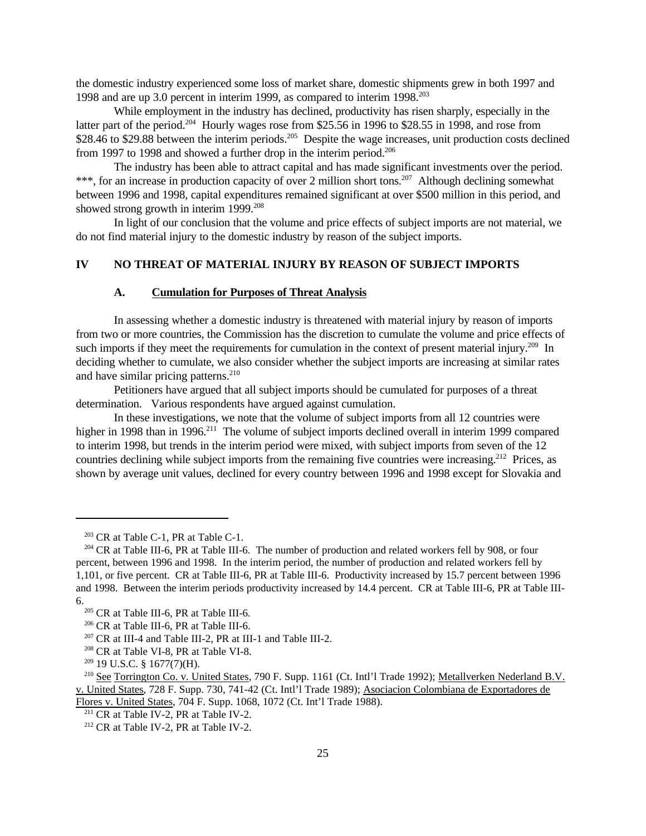the domestic industry experienced some loss of market share, domestic shipments grew in both 1997 and 1998 and are up 3.0 percent in interim 1999, as compared to interim 1998.<sup>203</sup>

While employment in the industry has declined, productivity has risen sharply, especially in the latter part of the period.<sup>204</sup> Hourly wages rose from \$25.56 in 1996 to \$28.55 in 1998, and rose from \$28.46 to \$29.88 between the interim periods.<sup>205</sup> Despite the wage increases, unit production costs declined from 1997 to 1998 and showed a further drop in the interim period.<sup>206</sup>

The industry has been able to attract capital and has made significant investments over the period. \*\*\*, for an increase in production capacity of over 2 million short tons.<sup>207</sup> Although declining somewhat between 1996 and 1998, capital expenditures remained significant at over \$500 million in this period, and showed strong growth in interim 1999.<sup>208</sup>

In light of our conclusion that the volume and price effects of subject imports are not material, we do not find material injury to the domestic industry by reason of the subject imports.

# **IV NO THREAT OF MATERIAL INJURY BY REASON OF SUBJECT IMPORTS**

#### **A. Cumulation for Purposes of Threat Analysis**

In assessing whether a domestic industry is threatened with material injury by reason of imports from two or more countries, the Commission has the discretion to cumulate the volume and price effects of such imports if they meet the requirements for cumulation in the context of present material injury.<sup>209</sup> In deciding whether to cumulate, we also consider whether the subject imports are increasing at similar rates and have similar pricing patterns.<sup>210</sup>

Petitioners have argued that all subject imports should be cumulated for purposes of a threat determination. Various respondents have argued against cumulation.

In these investigations, we note that the volume of subject imports from all 12 countries were higher in 1998 than in 1996.<sup>211</sup> The volume of subject imports declined overall in interim 1999 compared to interim 1998, but trends in the interim period were mixed, with subject imports from seven of the 12 countries declining while subject imports from the remaining five countries were increasing.<sup>212</sup> Prices, as shown by average unit values, declined for every country between 1996 and 1998 except for Slovakia and

<sup>&</sup>lt;sup>203</sup> CR at Table C-1, PR at Table C-1.

<sup>204</sup> CR at Table III-6, PR at Table III-6. The number of production and related workers fell by 908, or four percent, between 1996 and 1998. In the interim period, the number of production and related workers fell by 1,101, or five percent. CR at Table III-6, PR at Table III-6. Productivity increased by 15.7 percent between 1996 and 1998. Between the interim periods productivity increased by 14.4 percent. CR at Table III-6, PR at Table III-6.

<sup>205</sup> CR at Table III-6, PR at Table III-6.

<sup>206</sup> CR at Table III-6, PR at Table III-6.

<sup>207</sup> CR at III-4 and Table III-2, PR at III-1 and Table III-2.

<sup>208</sup> CR at Table VI-8, PR at Table VI-8.

<sup>209</sup> 19 U.S.C. § 1677(7)(H).

<sup>210</sup> See Torrington Co. v. United States, 790 F. Supp. 1161 (Ct. Intl'l Trade 1992); Metallverken Nederland B.V. v. United States, 728 F. Supp. 730, 741-42 (Ct. Intl'l Trade 1989); Asociacion Colombiana de Exportadores de Flores v. United States, 704 F. Supp. 1068, 1072 (Ct. Int'l Trade 1988).

<sup>&</sup>lt;sup>211</sup> CR at Table IV-2, PR at Table IV-2.

<sup>212</sup> CR at Table IV-2, PR at Table IV-2.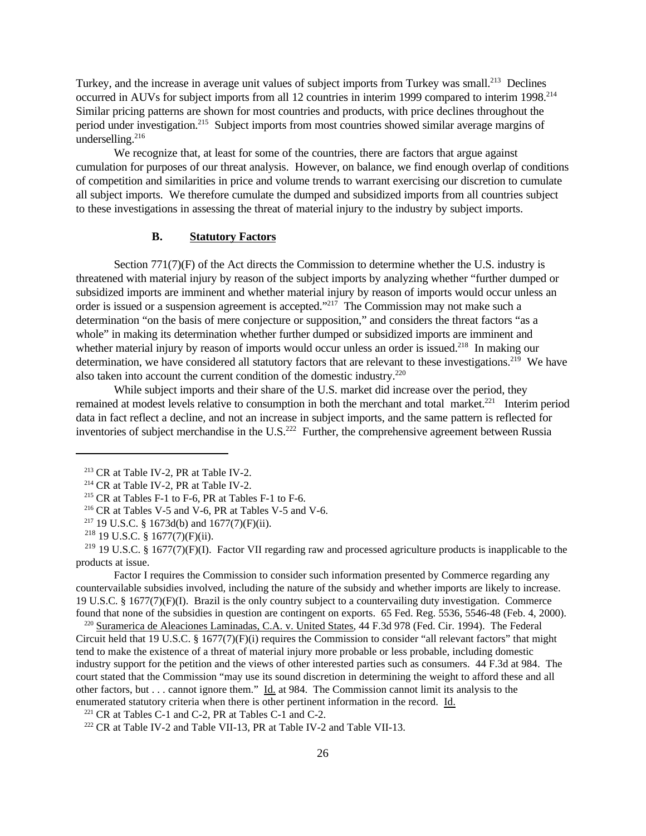Turkey, and the increase in average unit values of subject imports from Turkey was small.<sup>213</sup> Declines occurred in AUVs for subject imports from all 12 countries in interim 1999 compared to interim 1998.<sup>214</sup> Similar pricing patterns are shown for most countries and products, with price declines throughout the period under investigation.<sup>215</sup> Subject imports from most countries showed similar average margins of underselling. $^{216}$ 

We recognize that, at least for some of the countries, there are factors that argue against cumulation for purposes of our threat analysis. However, on balance, we find enough overlap of conditions of competition and similarities in price and volume trends to warrant exercising our discretion to cumulate all subject imports. We therefore cumulate the dumped and subsidized imports from all countries subject to these investigations in assessing the threat of material injury to the industry by subject imports.

#### **B. Statutory Factors**

Section  $771(7)(F)$  of the Act directs the Commission to determine whether the U.S. industry is threatened with material injury by reason of the subject imports by analyzing whether "further dumped or subsidized imports are imminent and whether material injury by reason of imports would occur unless an order is issued or a suspension agreement is accepted."<sup>217</sup> The Commission may not make such a determination "on the basis of mere conjecture or supposition," and considers the threat factors "as a whole" in making its determination whether further dumped or subsidized imports are imminent and whether material injury by reason of imports would occur unless an order is issued.<sup>218</sup> In making our determination, we have considered all statutory factors that are relevant to these investigations.<sup>219</sup> We have also taken into account the current condition of the domestic industry.<sup>220</sup>

While subject imports and their share of the U.S. market did increase over the period, they remained at modest levels relative to consumption in both the merchant and total market.<sup>221</sup> Interim period data in fact reflect a decline, and not an increase in subject imports, and the same pattern is reflected for inventories of subject merchandise in the U.S.<sup>222</sup> Further, the comprehensive agreement between Russia

Factor I requires the Commission to consider such information presented by Commerce regarding any countervailable subsidies involved, including the nature of the subsidy and whether imports are likely to increase. 19 U.S.C. § 1677(7)(F)(I). Brazil is the only country subject to a countervailing duty investigation. Commerce found that none of the subsidies in question are contingent on exports. 65 Fed. Reg. 5536, 5546-48 (Feb. 4, 2000).

<sup>220</sup> Suramerica de Aleaciones Laminadas, C.A. v. United States, 44 F.3d 978 (Fed. Cir. 1994). The Federal Circuit held that 19 U.S.C. § 1677(7)(F)(i) requires the Commission to consider "all relevant factors" that might tend to make the existence of a threat of material injury more probable or less probable, including domestic industry support for the petition and the views of other interested parties such as consumers. 44 F.3d at 984. The court stated that the Commission "may use its sound discretion in determining the weight to afford these and all other factors, but . . . cannot ignore them." Id. at 984. The Commission cannot limit its analysis to the enumerated statutory criteria when there is other pertinent information in the record. Id.

<sup>221</sup> CR at Tables C-1 and C-2, PR at Tables C-1 and C-2.

<sup>222</sup> CR at Table IV-2 and Table VII-13, PR at Table IV-2 and Table VII-13.

<sup>213</sup> CR at Table IV-2, PR at Table IV-2.

<sup>214</sup> CR at Table IV-2, PR at Table IV-2.

<sup>215</sup> CR at Tables F-1 to F-6, PR at Tables F-1 to F-6.

<sup>216</sup> CR at Tables V-5 and V-6, PR at Tables V-5 and V-6.

<sup>217</sup> 19 U.S.C. § 1673d(b) and 1677(7)(F)(ii).

<sup>218</sup> 19 U.S.C. § 1677(7)(F)(ii).

<sup>&</sup>lt;sup>219</sup> 19 U.S.C. § 1677(7)(F)(I). Factor VII regarding raw and processed agriculture products is inapplicable to the products at issue.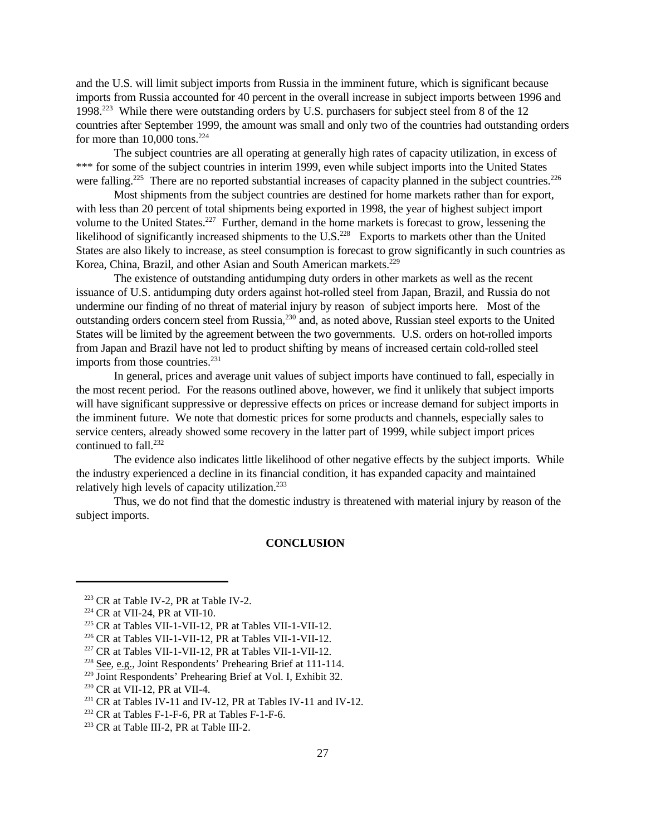and the U.S. will limit subject imports from Russia in the imminent future, which is significant because imports from Russia accounted for 40 percent in the overall increase in subject imports between 1996 and 1998.<sup>223</sup> While there were outstanding orders by U.S. purchasers for subject steel from 8 of the 12 countries after September 1999, the amount was small and only two of the countries had outstanding orders for more than  $10,000$  tons.<sup>224</sup>

The subject countries are all operating at generally high rates of capacity utilization, in excess of \*\*\* for some of the subject countries in interim 1999, even while subject imports into the United States were falling.<sup>225</sup> There are no reported substantial increases of capacity planned in the subject countries.<sup>226</sup>

Most shipments from the subject countries are destined for home markets rather than for export, with less than 20 percent of total shipments being exported in 1998, the year of highest subject import volume to the United States.<sup>227</sup> Further, demand in the home markets is forecast to grow, lessening the likelihood of significantly increased shipments to the U.S.<sup>228</sup> Exports to markets other than the United States are also likely to increase, as steel consumption is forecast to grow significantly in such countries as Korea, China, Brazil, and other Asian and South American markets.<sup>229</sup>

The existence of outstanding antidumping duty orders in other markets as well as the recent issuance of U.S. antidumping duty orders against hot-rolled steel from Japan, Brazil, and Russia do not undermine our finding of no threat of material injury by reason of subject imports here. Most of the outstanding orders concern steel from Russia,<sup>230</sup> and, as noted above, Russian steel exports to the United States will be limited by the agreement between the two governments. U.S. orders on hot-rolled imports from Japan and Brazil have not led to product shifting by means of increased certain cold-rolled steel imports from those countries.<sup>231</sup>

In general, prices and average unit values of subject imports have continued to fall, especially in the most recent period. For the reasons outlined above, however, we find it unlikely that subject imports will have significant suppressive or depressive effects on prices or increase demand for subject imports in the imminent future. We note that domestic prices for some products and channels, especially sales to service centers, already showed some recovery in the latter part of 1999, while subject import prices continued to fall.<sup>232</sup>

The evidence also indicates little likelihood of other negative effects by the subject imports. While the industry experienced a decline in its financial condition, it has expanded capacity and maintained relatively high levels of capacity utilization.<sup>233</sup>

Thus, we do not find that the domestic industry is threatened with material injury by reason of the subject imports.

#### **CONCLUSION**

<sup>223</sup> CR at Table IV-2, PR at Table IV-2.

<sup>224</sup> CR at VII-24, PR at VII-10.

<sup>225</sup> CR at Tables VII-1-VII-12, PR at Tables VII-1-VII-12.

<sup>226</sup> CR at Tables VII-1-VII-12, PR at Tables VII-1-VII-12.

<sup>227</sup> CR at Tables VII-1-VII-12, PR at Tables VII-1-VII-12.

<sup>228</sup> See, e.g., Joint Respondents' Prehearing Brief at 111-114.

<sup>229</sup> Joint Respondents' Prehearing Brief at Vol. I, Exhibit 32.

<sup>230</sup> CR at VII-12, PR at VII-4.

<sup>&</sup>lt;sup>231</sup> CR at Tables IV-11 and IV-12, PR at Tables IV-11 and IV-12.

<sup>232</sup> CR at Tables F-1-F-6, PR at Tables F-1-F-6.

<sup>&</sup>lt;sup>233</sup> CR at Table III-2, PR at Table III-2.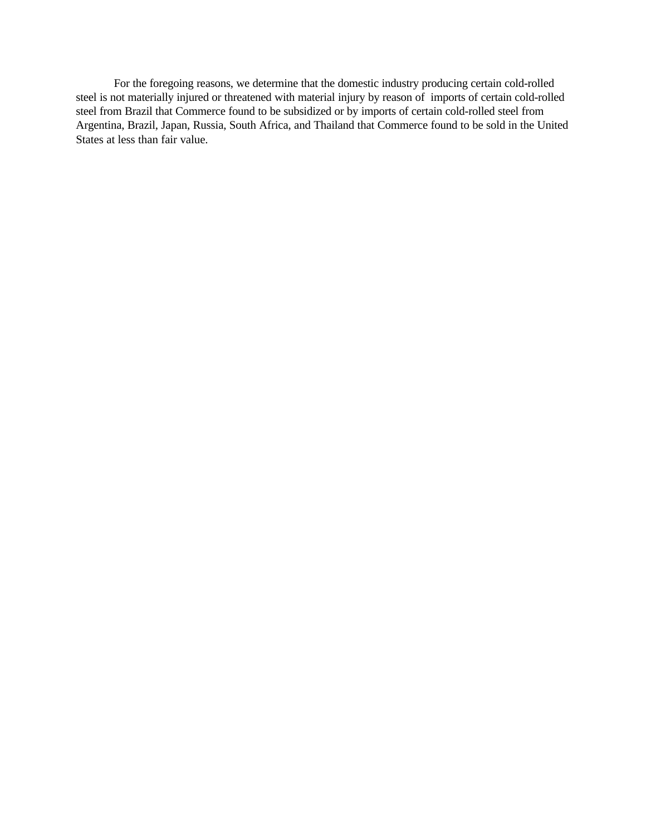For the foregoing reasons, we determine that the domestic industry producing certain cold-rolled steel is not materially injured or threatened with material injury by reason of imports of certain cold-rolled steel from Brazil that Commerce found to be subsidized or by imports of certain cold-rolled steel from Argentina, Brazil, Japan, Russia, South Africa, and Thailand that Commerce found to be sold in the United States at less than fair value.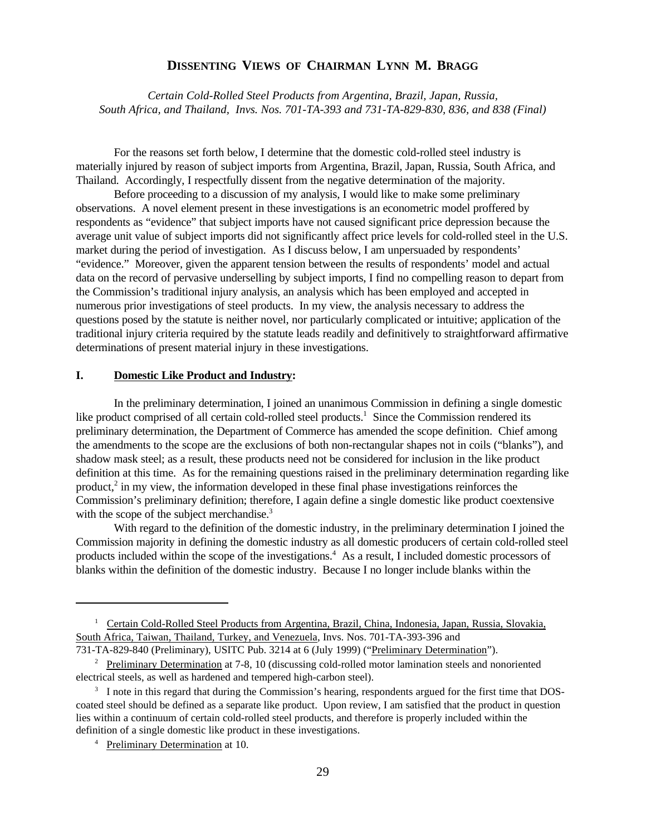# **DISSENTING VIEWS OF CHAIRMAN LYNN M. BRAGG**

*Certain Cold-Rolled Steel Products from Argentina, Brazil, Japan, Russia, South Africa, and Thailand, Invs. Nos. 701-TA-393 and 731-TA-829-830, 836, and 838 (Final)*

For the reasons set forth below, I determine that the domestic cold-rolled steel industry is materially injured by reason of subject imports from Argentina, Brazil, Japan, Russia, South Africa, and Thailand. Accordingly, I respectfully dissent from the negative determination of the majority.

Before proceeding to a discussion of my analysis, I would like to make some preliminary observations. A novel element present in these investigations is an econometric model proffered by respondents as "evidence" that subject imports have not caused significant price depression because the average unit value of subject imports did not significantly affect price levels for cold-rolled steel in the U.S. market during the period of investigation. As I discuss below, I am unpersuaded by respondents' "evidence." Moreover, given the apparent tension between the results of respondents' model and actual data on the record of pervasive underselling by subject imports, I find no compelling reason to depart from the Commission's traditional injury analysis, an analysis which has been employed and accepted in numerous prior investigations of steel products. In my view, the analysis necessary to address the questions posed by the statute is neither novel, nor particularly complicated or intuitive; application of the traditional injury criteria required by the statute leads readily and definitively to straightforward affirmative determinations of present material injury in these investigations.

### **I. Domestic Like Product and Industry:**

In the preliminary determination, I joined an unanimous Commission in defining a single domestic like product comprised of all certain cold-rolled steel products.<sup>1</sup> Since the Commission rendered its preliminary determination, the Department of Commerce has amended the scope definition. Chief among the amendments to the scope are the exclusions of both non-rectangular shapes not in coils ("blanks"), and shadow mask steel; as a result, these products need not be considered for inclusion in the like product definition at this time. As for the remaining questions raised in the preliminary determination regarding like product,<sup>2</sup> in my view, the information developed in these final phase investigations reinforces the Commission's preliminary definition; therefore, I again define a single domestic like product coextensive with the scope of the subject merchandise.<sup>3</sup>

With regard to the definition of the domestic industry, in the preliminary determination I joined the Commission majority in defining the domestic industry as all domestic producers of certain cold-rolled steel products included within the scope of the investigations.<sup>4</sup> As a result, I included domestic processors of blanks within the definition of the domestic industry. Because I no longer include blanks within the

<sup>&</sup>lt;sup>1</sup> Certain Cold-Rolled Steel Products from Argentina, Brazil, China, Indonesia, Japan, Russia, Slovakia, South Africa, Taiwan, Thailand, Turkey, and Venezuela, Invs. Nos. 701-TA-393-396 and

<sup>731-</sup>TA-829-840 (Preliminary), USITC Pub. 3214 at 6 (July 1999) ("Preliminary Determination").

<sup>&</sup>lt;sup>2</sup> Preliminary Determination at 7-8, 10 (discussing cold-rolled motor lamination steels and nonoriented electrical steels, as well as hardened and tempered high-carbon steel).

<sup>&</sup>lt;sup>3</sup> I note in this regard that during the Commission's hearing, respondents argued for the first time that DOScoated steel should be defined as a separate like product. Upon review, I am satisfied that the product in question lies within a continuum of certain cold-rolled steel products, and therefore is properly included within the definition of a single domestic like product in these investigations.

<sup>4</sup> Preliminary Determination at 10.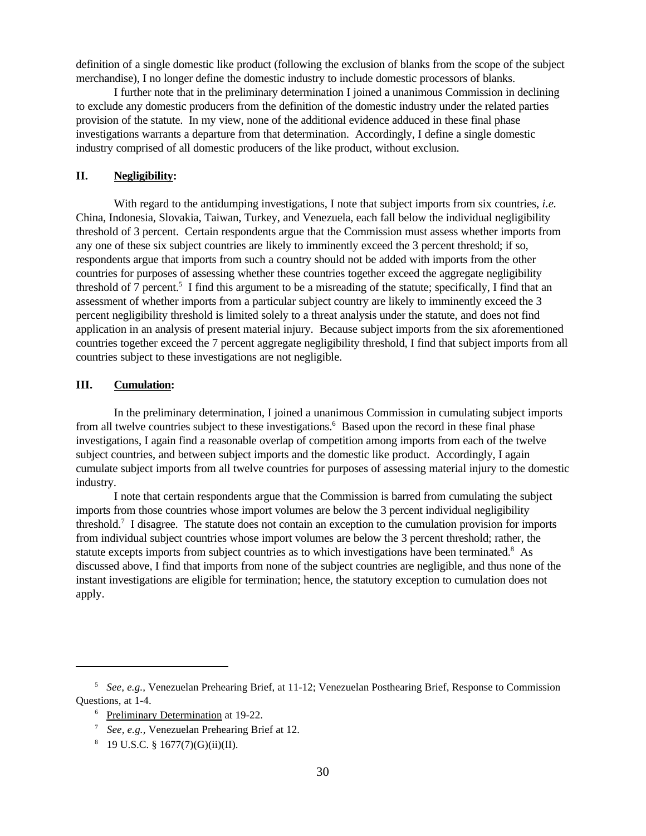definition of a single domestic like product (following the exclusion of blanks from the scope of the subject merchandise), I no longer define the domestic industry to include domestic processors of blanks.

I further note that in the preliminary determination I joined a unanimous Commission in declining to exclude any domestic producers from the definition of the domestic industry under the related parties provision of the statute. In my view, none of the additional evidence adduced in these final phase investigations warrants a departure from that determination. Accordingly, I define a single domestic industry comprised of all domestic producers of the like product, without exclusion.

# **II. Negligibility:**

With regard to the antidumping investigations, I note that subject imports from six countries, *i.e.* China, Indonesia, Slovakia, Taiwan, Turkey, and Venezuela, each fall below the individual negligibility threshold of 3 percent. Certain respondents argue that the Commission must assess whether imports from any one of these six subject countries are likely to imminently exceed the 3 percent threshold; if so, respondents argue that imports from such a country should not be added with imports from the other countries for purposes of assessing whether these countries together exceed the aggregate negligibility threshold of 7 percent.<sup>5</sup> I find this argument to be a misreading of the statute; specifically, I find that an assessment of whether imports from a particular subject country are likely to imminently exceed the 3 percent negligibility threshold is limited solely to a threat analysis under the statute, and does not find application in an analysis of present material injury. Because subject imports from the six aforementioned countries together exceed the 7 percent aggregate negligibility threshold, I find that subject imports from all countries subject to these investigations are not negligible.

# **III. Cumulation:**

In the preliminary determination, I joined a unanimous Commission in cumulating subject imports from all twelve countries subject to these investigations.<sup>6</sup> Based upon the record in these final phase investigations, I again find a reasonable overlap of competition among imports from each of the twelve subject countries, and between subject imports and the domestic like product. Accordingly, I again cumulate subject imports from all twelve countries for purposes of assessing material injury to the domestic industry.

I note that certain respondents argue that the Commission is barred from cumulating the subject imports from those countries whose import volumes are below the 3 percent individual negligibility threshold.<sup>7</sup> I disagree. The statute does not contain an exception to the cumulation provision for imports from individual subject countries whose import volumes are below the 3 percent threshold; rather, the statute excepts imports from subject countries as to which investigations have been terminated.<sup>8</sup> As discussed above, I find that imports from none of the subject countries are negligible, and thus none of the instant investigations are eligible for termination; hence, the statutory exception to cumulation does not apply.

<sup>5</sup> *See, e.g.,* Venezuelan Prehearing Brief, at 11-12; Venezuelan Posthearing Brief, Response to Commission Questions, at 1-4.

<sup>6</sup> Preliminary Determination at 19-22.

<sup>7</sup> *See, e.g.,* Venezuelan Prehearing Brief at 12.

 $8 \quad 19 \text{ U.S.C. } \S \; 1677(7)(G)(ii)(II).$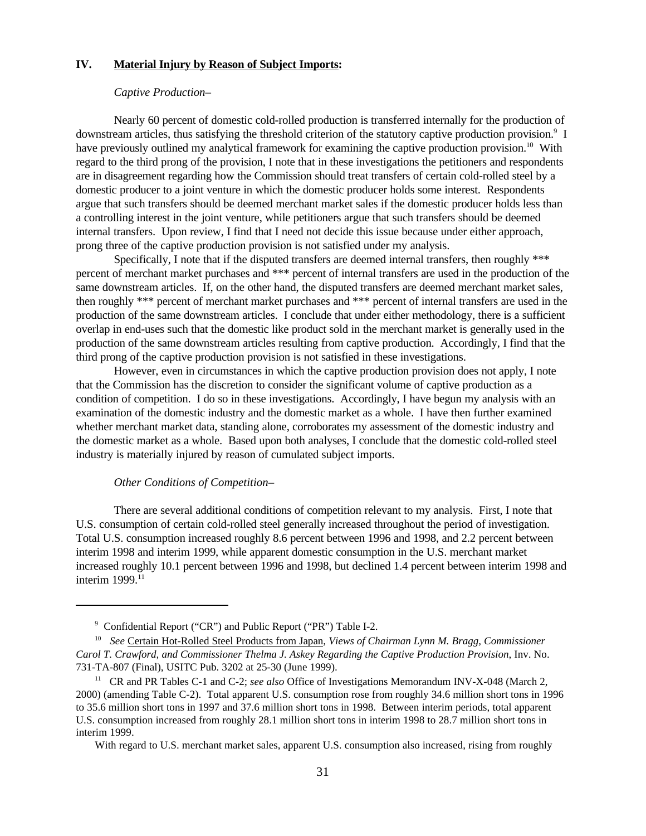# **IV. Material Injury by Reason of Subject Imports:**

#### *Captive Production–*

Nearly 60 percent of domestic cold-rolled production is transferred internally for the production of downstream articles, thus satisfying the threshold criterion of the statutory captive production provision.<sup>9</sup> I have previously outlined my analytical framework for examining the captive production provision.<sup>10</sup> With regard to the third prong of the provision, I note that in these investigations the petitioners and respondents are in disagreement regarding how the Commission should treat transfers of certain cold-rolled steel by a domestic producer to a joint venture in which the domestic producer holds some interest. Respondents argue that such transfers should be deemed merchant market sales if the domestic producer holds less than a controlling interest in the joint venture, while petitioners argue that such transfers should be deemed internal transfers. Upon review, I find that I need not decide this issue because under either approach, prong three of the captive production provision is not satisfied under my analysis.

Specifically, I note that if the disputed transfers are deemed internal transfers, then roughly \*\*\* percent of merchant market purchases and \*\*\* percent of internal transfers are used in the production of the same downstream articles. If, on the other hand, the disputed transfers are deemed merchant market sales, then roughly \*\*\* percent of merchant market purchases and \*\*\* percent of internal transfers are used in the production of the same downstream articles. I conclude that under either methodology, there is a sufficient overlap in end-uses such that the domestic like product sold in the merchant market is generally used in the production of the same downstream articles resulting from captive production. Accordingly, I find that the third prong of the captive production provision is not satisfied in these investigations.

However, even in circumstances in which the captive production provision does not apply, I note that the Commission has the discretion to consider the significant volume of captive production as a condition of competition. I do so in these investigations. Accordingly, I have begun my analysis with an examination of the domestic industry and the domestic market as a whole. I have then further examined whether merchant market data, standing alone, corroborates my assessment of the domestic industry and the domestic market as a whole. Based upon both analyses, I conclude that the domestic cold-rolled steel industry is materially injured by reason of cumulated subject imports.

# *Other Conditions of Competition–*

There are several additional conditions of competition relevant to my analysis. First, I note that U.S. consumption of certain cold-rolled steel generally increased throughout the period of investigation. Total U.S. consumption increased roughly 8.6 percent between 1996 and 1998, and 2.2 percent between interim 1998 and interim 1999, while apparent domestic consumption in the U.S. merchant market increased roughly 10.1 percent between 1996 and 1998, but declined 1.4 percent between interim 1998 and interim  $1999$ .<sup>11</sup>

<sup>&</sup>lt;sup>9</sup> Confidential Report ("CR") and Public Report ("PR") Table I-2.

<sup>10</sup> *See* Certain Hot-Rolled Steel Products from Japan, *Views of Chairman Lynn M. Bragg, Commissioner Carol T. Crawford, and Commissioner Thelma J. Askey Regarding the Captive Production Provision*, Inv. No. 731-TA-807 (Final), USITC Pub. 3202 at 25-30 (June 1999).

<sup>&</sup>lt;sup>11</sup> CR and PR Tables C-1 and C-2; *see also* Office of Investigations Memorandum INV-X-048 (March 2, 2000) (amending Table C-2). Total apparent U.S. consumption rose from roughly 34.6 million short tons in 1996 to 35.6 million short tons in 1997 and 37.6 million short tons in 1998. Between interim periods, total apparent U.S. consumption increased from roughly 28.1 million short tons in interim 1998 to 28.7 million short tons in interim 1999.

With regard to U.S. merchant market sales, apparent U.S. consumption also increased, rising from roughly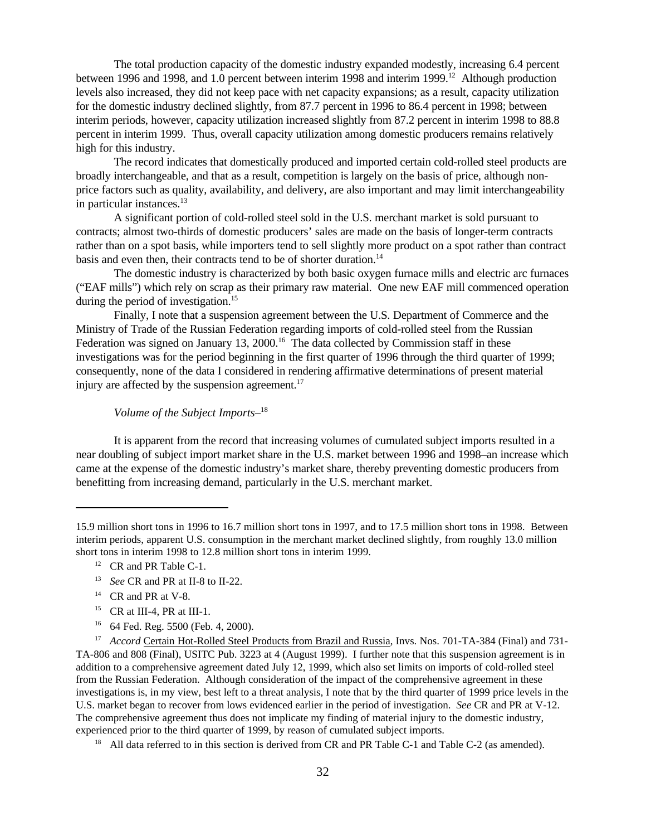The total production capacity of the domestic industry expanded modestly, increasing 6.4 percent between 1996 and 1998, and 1.0 percent between interim 1998 and interim 1999.<sup>12</sup> Although production levels also increased, they did not keep pace with net capacity expansions; as a result, capacity utilization for the domestic industry declined slightly, from 87.7 percent in 1996 to 86.4 percent in 1998; between interim periods, however, capacity utilization increased slightly from 87.2 percent in interim 1998 to 88.8 percent in interim 1999. Thus, overall capacity utilization among domestic producers remains relatively high for this industry.

The record indicates that domestically produced and imported certain cold-rolled steel products are broadly interchangeable, and that as a result, competition is largely on the basis of price, although nonprice factors such as quality, availability, and delivery, are also important and may limit interchangeability in particular instances.<sup>13</sup>

A significant portion of cold-rolled steel sold in the U.S. merchant market is sold pursuant to contracts; almost two-thirds of domestic producers' sales are made on the basis of longer-term contracts rather than on a spot basis, while importers tend to sell slightly more product on a spot rather than contract basis and even then, their contracts tend to be of shorter duration.<sup>14</sup>

The domestic industry is characterized by both basic oxygen furnace mills and electric arc furnaces ("EAF mills") which rely on scrap as their primary raw material. One new EAF mill commenced operation during the period of investigation.<sup>15</sup>

Finally, I note that a suspension agreement between the U.S. Department of Commerce and the Ministry of Trade of the Russian Federation regarding imports of cold-rolled steel from the Russian Federation was signed on January 13, 2000.<sup>16</sup> The data collected by Commission staff in these investigations was for the period beginning in the first quarter of 1996 through the third quarter of 1999; consequently, none of the data I considered in rendering affirmative determinations of present material injury are affected by the suspension agreement. $17$ 

# *Volume of the Subject Imports–*<sup>18</sup>

It is apparent from the record that increasing volumes of cumulated subject imports resulted in a near doubling of subject import market share in the U.S. market between 1996 and 1998–an increase which came at the expense of the domestic industry's market share, thereby preventing domestic producers from benefitting from increasing demand, particularly in the U.S. merchant market.

- <sup>14</sup> CR and PR at V-8.
- <sup>15</sup> CR at III-4, PR at III-1.
- 16 64 Fed. Reg. 5500 (Feb. 4, 2000).

<sup>15.9</sup> million short tons in 1996 to 16.7 million short tons in 1997, and to 17.5 million short tons in 1998. Between interim periods, apparent U.S. consumption in the merchant market declined slightly, from roughly 13.0 million short tons in interim 1998 to 12.8 million short tons in interim 1999.

<sup>&</sup>lt;sup>12</sup> CR and PR Table C-1.

<sup>13</sup> *See* CR and PR at II-8 to II-22.

<sup>&</sup>lt;sup>17</sup> *Accord Certain Hot-Rolled Steel Products from Brazil and Russia*, Invs. Nos. 701-TA-384 (Final) and 731-TA-806 and 808 (Final), USITC Pub. 3223 at 4 (August 1999). I further note that this suspension agreement is in addition to a comprehensive agreement dated July 12, 1999, which also set limits on imports of cold-rolled steel from the Russian Federation. Although consideration of the impact of the comprehensive agreement in these investigations is, in my view, best left to a threat analysis, I note that by the third quarter of 1999 price levels in the U.S. market began to recover from lows evidenced earlier in the period of investigation. *See* CR and PR at V-12. The comprehensive agreement thus does not implicate my finding of material injury to the domestic industry, experienced prior to the third quarter of 1999, by reason of cumulated subject imports.

<sup>&</sup>lt;sup>18</sup> All data referred to in this section is derived from CR and PR Table C-1 and Table C-2 (as amended).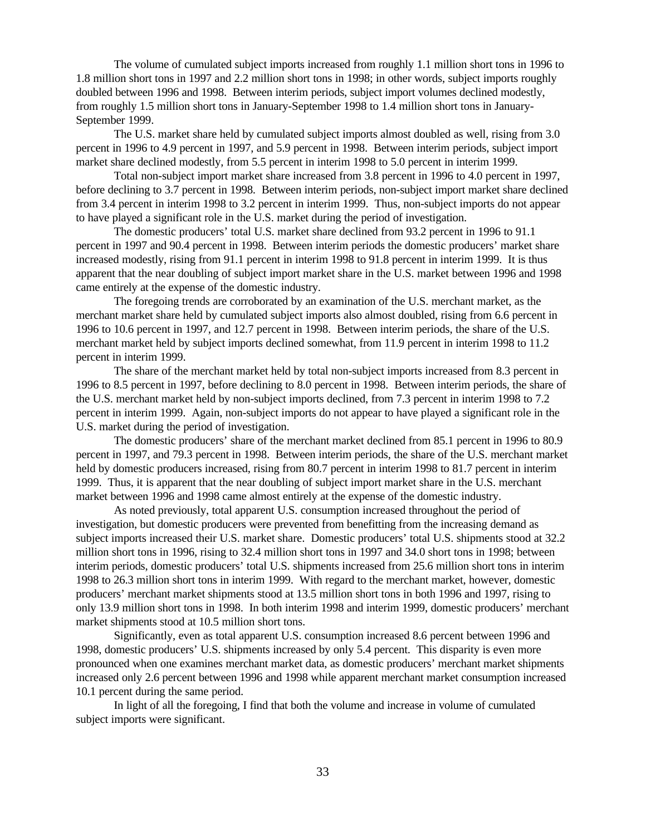The volume of cumulated subject imports increased from roughly 1.1 million short tons in 1996 to 1.8 million short tons in 1997 and 2.2 million short tons in 1998; in other words, subject imports roughly doubled between 1996 and 1998. Between interim periods, subject import volumes declined modestly, from roughly 1.5 million short tons in January-September 1998 to 1.4 million short tons in January-September 1999.

The U.S. market share held by cumulated subject imports almost doubled as well, rising from 3.0 percent in 1996 to 4.9 percent in 1997, and 5.9 percent in 1998. Between interim periods, subject import market share declined modestly, from 5.5 percent in interim 1998 to 5.0 percent in interim 1999.

Total non-subject import market share increased from 3.8 percent in 1996 to 4.0 percent in 1997, before declining to 3.7 percent in 1998. Between interim periods, non-subject import market share declined from 3.4 percent in interim 1998 to 3.2 percent in interim 1999. Thus, non-subject imports do not appear to have played a significant role in the U.S. market during the period of investigation.

The domestic producers' total U.S. market share declined from 93.2 percent in 1996 to 91.1 percent in 1997 and 90.4 percent in 1998. Between interim periods the domestic producers' market share increased modestly, rising from 91.1 percent in interim 1998 to 91.8 percent in interim 1999. It is thus apparent that the near doubling of subject import market share in the U.S. market between 1996 and 1998 came entirely at the expense of the domestic industry.

The foregoing trends are corroborated by an examination of the U.S. merchant market, as the merchant market share held by cumulated subject imports also almost doubled, rising from 6.6 percent in 1996 to 10.6 percent in 1997, and 12.7 percent in 1998. Between interim periods, the share of the U.S. merchant market held by subject imports declined somewhat, from 11.9 percent in interim 1998 to 11.2 percent in interim 1999.

The share of the merchant market held by total non-subject imports increased from 8.3 percent in 1996 to 8.5 percent in 1997, before declining to 8.0 percent in 1998. Between interim periods, the share of the U.S. merchant market held by non-subject imports declined, from 7.3 percent in interim 1998 to 7.2 percent in interim 1999. Again, non-subject imports do not appear to have played a significant role in the U.S. market during the period of investigation.

The domestic producers' share of the merchant market declined from 85.1 percent in 1996 to 80.9 percent in 1997, and 79.3 percent in 1998. Between interim periods, the share of the U.S. merchant market held by domestic producers increased, rising from 80.7 percent in interim 1998 to 81.7 percent in interim 1999. Thus, it is apparent that the near doubling of subject import market share in the U.S. merchant market between 1996 and 1998 came almost entirely at the expense of the domestic industry.

As noted previously, total apparent U.S. consumption increased throughout the period of investigation, but domestic producers were prevented from benefitting from the increasing demand as subject imports increased their U.S. market share. Domestic producers' total U.S. shipments stood at 32.2 million short tons in 1996, rising to 32.4 million short tons in 1997 and 34.0 short tons in 1998; between interim periods, domestic producers' total U.S. shipments increased from 25.6 million short tons in interim 1998 to 26.3 million short tons in interim 1999. With regard to the merchant market, however, domestic producers' merchant market shipments stood at 13.5 million short tons in both 1996 and 1997, rising to only 13.9 million short tons in 1998. In both interim 1998 and interim 1999, domestic producers' merchant market shipments stood at 10.5 million short tons.

Significantly, even as total apparent U.S. consumption increased 8.6 percent between 1996 and 1998, domestic producers' U.S. shipments increased by only 5.4 percent. This disparity is even more pronounced when one examines merchant market data, as domestic producers' merchant market shipments increased only 2.6 percent between 1996 and 1998 while apparent merchant market consumption increased 10.1 percent during the same period.

In light of all the foregoing, I find that both the volume and increase in volume of cumulated subject imports were significant.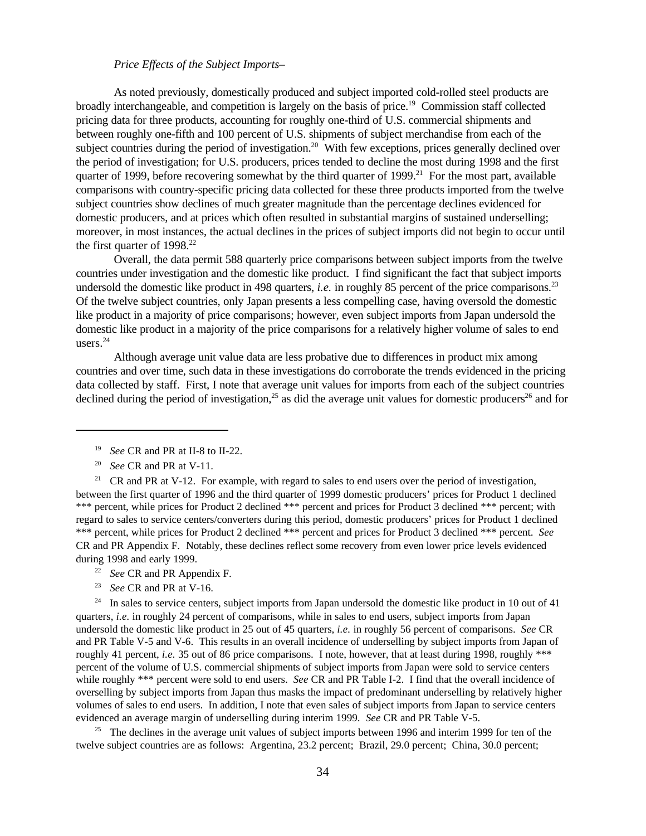# *Price Effects of the Subject Imports–*

As noted previously, domestically produced and subject imported cold-rolled steel products are broadly interchangeable, and competition is largely on the basis of price.<sup>19</sup> Commission staff collected pricing data for three products, accounting for roughly one-third of U.S. commercial shipments and between roughly one-fifth and 100 percent of U.S. shipments of subject merchandise from each of the subject countries during the period of investigation.<sup>20</sup> With few exceptions, prices generally declined over the period of investigation; for U.S. producers, prices tended to decline the most during 1998 and the first quarter of 1999, before recovering somewhat by the third quarter of 1999.<sup>21</sup> For the most part, available comparisons with country-specific pricing data collected for these three products imported from the twelve subject countries show declines of much greater magnitude than the percentage declines evidenced for domestic producers, and at prices which often resulted in substantial margins of sustained underselling; moreover, in most instances, the actual declines in the prices of subject imports did not begin to occur until the first quarter of  $1998.<sup>22</sup>$ 

Overall, the data permit 588 quarterly price comparisons between subject imports from the twelve countries under investigation and the domestic like product. I find significant the fact that subject imports undersold the domestic like product in 498 quarters, *i.e.* in roughly 85 percent of the price comparisons.<sup>23</sup> Of the twelve subject countries, only Japan presents a less compelling case, having oversold the domestic like product in a majority of price comparisons; however, even subject imports from Japan undersold the domestic like product in a majority of the price comparisons for a relatively higher volume of sales to end users. $24$ 

Although average unit value data are less probative due to differences in product mix among countries and over time, such data in these investigations do corroborate the trends evidenced in the pricing data collected by staff. First, I note that average unit values for imports from each of the subject countries declined during the period of investigation,<sup>25</sup> as did the average unit values for domestic producers<sup>26</sup> and for

- 22 *See* CR and PR Appendix F.
- 23 *See* CR and PR at V-16.

 $24$  In sales to service centers, subject imports from Japan undersold the domestic like product in 10 out of 41 quarters, *i.e.* in roughly 24 percent of comparisons, while in sales to end users, subject imports from Japan undersold the domestic like product in 25 out of 45 quarters, *i.e.* in roughly 56 percent of comparisons. *See* CR and PR Table V-5 and V-6. This results in an overall incidence of underselling by subject imports from Japan of roughly 41 percent, *i.e.* 35 out of 86 price comparisons. I note, however, that at least during 1998, roughly \*\*\* percent of the volume of U.S. commercial shipments of subject imports from Japan were sold to service centers while roughly \*\*\* percent were sold to end users. *See* CR and PR Table I-2. I find that the overall incidence of overselling by subject imports from Japan thus masks the impact of predominant underselling by relatively higher volumes of sales to end users. In addition, I note that even sales of subject imports from Japan to service centers evidenced an average margin of underselling during interim 1999. *See* CR and PR Table V-5.

<sup>25</sup> The declines in the average unit values of subject imports between 1996 and interim 1999 for ten of the twelve subject countries are as follows: Argentina, 23.2 percent; Brazil, 29.0 percent; China, 30.0 percent;

<sup>19</sup> *See* CR and PR at II-8 to II-22.

<sup>20</sup> *See* CR and PR at V-11.

<sup>&</sup>lt;sup>21</sup> CR and PR at V-12. For example, with regard to sales to end users over the period of investigation, between the first quarter of 1996 and the third quarter of 1999 domestic producers' prices for Product 1 declined \*\*\* percent, while prices for Product 2 declined \*\*\* percent and prices for Product 3 declined \*\*\* percent; with regard to sales to service centers/converters during this period, domestic producers' prices for Product 1 declined \*\*\* percent, while prices for Product 2 declined \*\*\* percent and prices for Product 3 declined \*\*\* percent. *See* CR and PR Appendix F. Notably, these declines reflect some recovery from even lower price levels evidenced during 1998 and early 1999.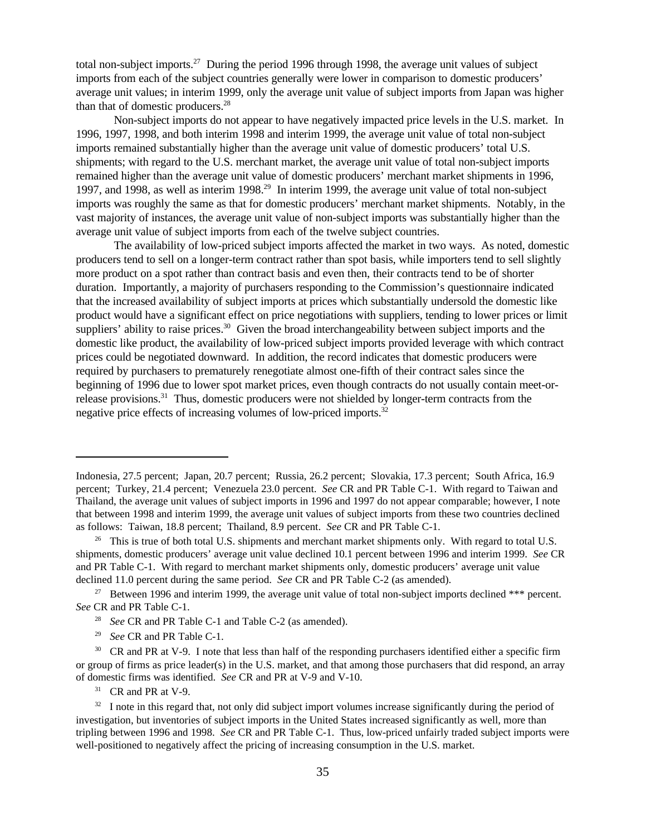total non-subject imports.<sup>27</sup> During the period 1996 through 1998, the average unit values of subject imports from each of the subject countries generally were lower in comparison to domestic producers' average unit values; in interim 1999, only the average unit value of subject imports from Japan was higher than that of domestic producers. $28$ 

Non-subject imports do not appear to have negatively impacted price levels in the U.S. market. In 1996, 1997, 1998, and both interim 1998 and interim 1999, the average unit value of total non-subject imports remained substantially higher than the average unit value of domestic producers' total U.S. shipments; with regard to the U.S. merchant market, the average unit value of total non-subject imports remained higher than the average unit value of domestic producers' merchant market shipments in 1996, 1997, and 1998, as well as interim 1998.<sup>29</sup> In interim 1999, the average unit value of total non-subject imports was roughly the same as that for domestic producers' merchant market shipments. Notably, in the vast majority of instances, the average unit value of non-subject imports was substantially higher than the average unit value of subject imports from each of the twelve subject countries.

The availability of low-priced subject imports affected the market in two ways. As noted, domestic producers tend to sell on a longer-term contract rather than spot basis, while importers tend to sell slightly more product on a spot rather than contract basis and even then, their contracts tend to be of shorter duration. Importantly, a majority of purchasers responding to the Commission's questionnaire indicated that the increased availability of subject imports at prices which substantially undersold the domestic like product would have a significant effect on price negotiations with suppliers, tending to lower prices or limit suppliers' ability to raise prices.<sup>30</sup> Given the broad interchangeability between subject imports and the domestic like product, the availability of low-priced subject imports provided leverage with which contract prices could be negotiated downward. In addition, the record indicates that domestic producers were required by purchasers to prematurely renegotiate almost one-fifth of their contract sales since the beginning of 1996 due to lower spot market prices, even though contracts do not usually contain meet-orrelease provisions.<sup>31</sup> Thus, domestic producers were not shielded by longer-term contracts from the negative price effects of increasing volumes of low-priced imports.32

29 *See* CR and PR Table C-1.

<sup>31</sup> CR and PR at V-9.

Indonesia, 27.5 percent; Japan, 20.7 percent; Russia, 26.2 percent; Slovakia, 17.3 percent; South Africa, 16.9 percent; Turkey, 21.4 percent; Venezuela 23.0 percent. *See* CR and PR Table C-1. With regard to Taiwan and Thailand, the average unit values of subject imports in 1996 and 1997 do not appear comparable; however, I note that between 1998 and interim 1999, the average unit values of subject imports from these two countries declined as follows: Taiwan, 18.8 percent; Thailand, 8.9 percent. *See* CR and PR Table C-1.

<sup>&</sup>lt;sup>26</sup> This is true of both total U.S. shipments and merchant market shipments only. With regard to total U.S. shipments, domestic producers' average unit value declined 10.1 percent between 1996 and interim 1999. *See* CR and PR Table C-1. With regard to merchant market shipments only, domestic producers' average unit value declined 11.0 percent during the same period. *See* CR and PR Table C-2 (as amended).

<sup>&</sup>lt;sup>27</sup> Between 1996 and interim 1999, the average unit value of total non-subject imports declined \*\*\* percent. *See* CR and PR Table C-1.

<sup>&</sup>lt;sup>28</sup> *See* CR and PR Table C-1 and Table C-2 (as amended).

<sup>&</sup>lt;sup>30</sup> CR and PR at V-9. I note that less than half of the responding purchasers identified either a specific firm or group of firms as price leader(s) in the U.S. market, and that among those purchasers that did respond, an array of domestic firms was identified. *See* CR and PR at V-9 and V-10.

 $32\;\;$  I note in this regard that, not only did subject import volumes increase significantly during the period of investigation, but inventories of subject imports in the United States increased significantly as well, more than tripling between 1996 and 1998. *See* CR and PR Table C-1. Thus, low-priced unfairly traded subject imports were well-positioned to negatively affect the pricing of increasing consumption in the U.S. market.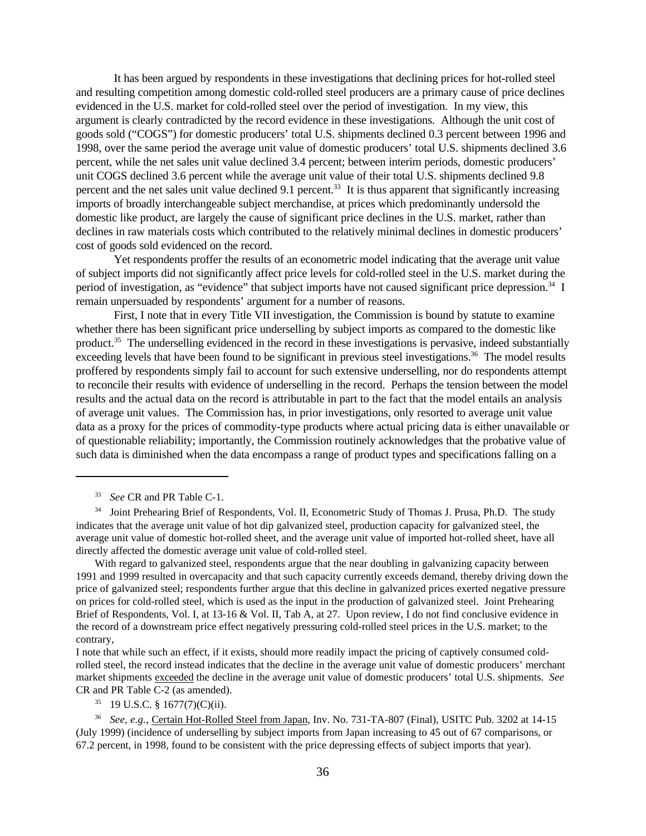It has been argued by respondents in these investigations that declining prices for hot-rolled steel and resulting competition among domestic cold-rolled steel producers are a primary cause of price declines evidenced in the U.S. market for cold-rolled steel over the period of investigation. In my view, this argument is clearly contradicted by the record evidence in these investigations. Although the unit cost of goods sold ("COGS") for domestic producers' total U.S. shipments declined 0.3 percent between 1996 and 1998, over the same period the average unit value of domestic producers' total U.S. shipments declined 3.6 percent, while the net sales unit value declined 3.4 percent; between interim periods, domestic producers' unit COGS declined 3.6 percent while the average unit value of their total U.S. shipments declined 9.8 percent and the net sales unit value declined 9.1 percent.<sup>33</sup> It is thus apparent that significantly increasing imports of broadly interchangeable subject merchandise, at prices which predominantly undersold the domestic like product, are largely the cause of significant price declines in the U.S. market, rather than declines in raw materials costs which contributed to the relatively minimal declines in domestic producers' cost of goods sold evidenced on the record.

Yet respondents proffer the results of an econometric model indicating that the average unit value of subject imports did not significantly affect price levels for cold-rolled steel in the U.S. market during the period of investigation, as "evidence" that subject imports have not caused significant price depression.<sup>34</sup> I remain unpersuaded by respondents' argument for a number of reasons.

First, I note that in every Title VII investigation, the Commission is bound by statute to examine whether there has been significant price underselling by subject imports as compared to the domestic like product.<sup>35</sup> The underselling evidenced in the record in these investigations is pervasive, indeed substantially exceeding levels that have been found to be significant in previous steel investigations.<sup>36</sup> The model results proffered by respondents simply fail to account for such extensive underselling, nor do respondents attempt to reconcile their results with evidence of underselling in the record. Perhaps the tension between the model results and the actual data on the record is attributable in part to the fact that the model entails an analysis of average unit values. The Commission has, in prior investigations, only resorted to average unit value data as a proxy for the prices of commodity-type products where actual pricing data is either unavailable or of questionable reliability; importantly, the Commission routinely acknowledges that the probative value of such data is diminished when the data encompass a range of product types and specifications falling on a

With regard to galvanized steel, respondents argue that the near doubling in galvanizing capacity between 1991 and 1999 resulted in overcapacity and that such capacity currently exceeds demand, thereby driving down the price of galvanized steel; respondents further argue that this decline in galvanized prices exerted negative pressure on prices for cold-rolled steel, which is used as the input in the production of galvanized steel. Joint Prehearing Brief of Respondents, Vol. I, at 13-16 & Vol. II, Tab A, at 27. Upon review, I do not find conclusive evidence in the record of a downstream price effect negatively pressuring cold-rolled steel prices in the U.S. market; to the contrary,

I note that while such an effect, if it exists, should more readily impact the pricing of captively consumed coldrolled steel, the record instead indicates that the decline in the average unit value of domestic producers' merchant market shipments exceeded the decline in the average unit value of domestic producers' total U.S. shipments. *See* CR and PR Table C-2 (as amended).

 $35$  19 U.S.C. § 1677(7)(C)(ii).

<sup>33</sup> *See* CR and PR Table C-1.

<sup>&</sup>lt;sup>34</sup> Joint Prehearing Brief of Respondents, Vol. II, Econometric Study of Thomas J. Prusa, Ph.D. The study indicates that the average unit value of hot dip galvanized steel, production capacity for galvanized steel, the average unit value of domestic hot-rolled sheet, and the average unit value of imported hot-rolled sheet, have all directly affected the domestic average unit value of cold-rolled steel.

<sup>36</sup> *See, e.g.,* Certain Hot-Rolled Steel from Japan, Inv. No. 731-TA-807 (Final), USITC Pub. 3202 at 14-15 (July 1999) (incidence of underselling by subject imports from Japan increasing to 45 out of 67 comparisons, or 67.2 percent, in 1998, found to be consistent with the price depressing effects of subject imports that year).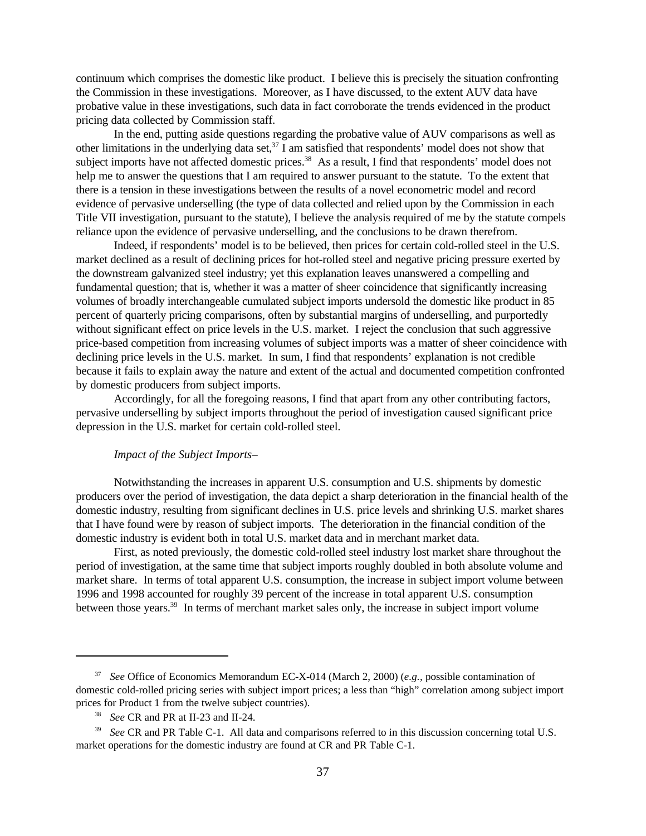continuum which comprises the domestic like product. I believe this is precisely the situation confronting the Commission in these investigations. Moreover, as I have discussed, to the extent AUV data have probative value in these investigations, such data in fact corroborate the trends evidenced in the product pricing data collected by Commission staff.

In the end, putting aside questions regarding the probative value of AUV comparisons as well as other limitations in the underlying data set,  $37$  I am satisfied that respondents' model does not show that subject imports have not affected domestic prices.<sup>38</sup> As a result, I find that respondents' model does not help me to answer the questions that I am required to answer pursuant to the statute. To the extent that there is a tension in these investigations between the results of a novel econometric model and record evidence of pervasive underselling (the type of data collected and relied upon by the Commission in each Title VII investigation, pursuant to the statute), I believe the analysis required of me by the statute compels reliance upon the evidence of pervasive underselling, and the conclusions to be drawn therefrom.

Indeed, if respondents' model is to be believed, then prices for certain cold-rolled steel in the U.S. market declined as a result of declining prices for hot-rolled steel and negative pricing pressure exerted by the downstream galvanized steel industry; yet this explanation leaves unanswered a compelling and fundamental question; that is, whether it was a matter of sheer coincidence that significantly increasing volumes of broadly interchangeable cumulated subject imports undersold the domestic like product in 85 percent of quarterly pricing comparisons, often by substantial margins of underselling, and purportedly without significant effect on price levels in the U.S. market. I reject the conclusion that such aggressive price-based competition from increasing volumes of subject imports was a matter of sheer coincidence with declining price levels in the U.S. market. In sum, I find that respondents' explanation is not credible because it fails to explain away the nature and extent of the actual and documented competition confronted by domestic producers from subject imports.

Accordingly, for all the foregoing reasons, I find that apart from any other contributing factors, pervasive underselling by subject imports throughout the period of investigation caused significant price depression in the U.S. market for certain cold-rolled steel.

### *Impact of the Subject Imports–*

Notwithstanding the increases in apparent U.S. consumption and U.S. shipments by domestic producers over the period of investigation, the data depict a sharp deterioration in the financial health of the domestic industry, resulting from significant declines in U.S. price levels and shrinking U.S. market shares that I have found were by reason of subject imports. The deterioration in the financial condition of the domestic industry is evident both in total U.S. market data and in merchant market data.

First, as noted previously, the domestic cold-rolled steel industry lost market share throughout the period of investigation, at the same time that subject imports roughly doubled in both absolute volume and market share. In terms of total apparent U.S. consumption, the increase in subject import volume between 1996 and 1998 accounted for roughly 39 percent of the increase in total apparent U.S. consumption between those years.<sup>39</sup> In terms of merchant market sales only, the increase in subject import volume

<sup>37</sup> *See* Office of Economics Memorandum EC-X-014 (March 2, 2000) (*e.g.,* possible contamination of domestic cold-rolled pricing series with subject import prices; a less than "high" correlation among subject import prices for Product 1 from the twelve subject countries).

<sup>38</sup> *See* CR and PR at II-23 and II-24.

<sup>&</sup>lt;sup>39</sup> See CR and PR Table C-1. All data and comparisons referred to in this discussion concerning total U.S. market operations for the domestic industry are found at CR and PR Table C-1.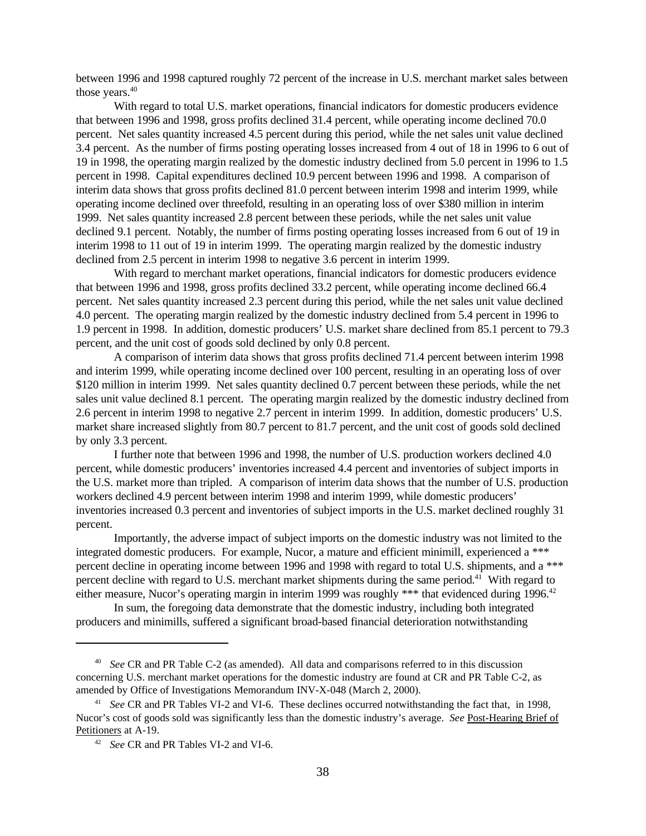between 1996 and 1998 captured roughly 72 percent of the increase in U.S. merchant market sales between those years.<sup>40</sup>

With regard to total U.S. market operations, financial indicators for domestic producers evidence that between 1996 and 1998, gross profits declined 31.4 percent, while operating income declined 70.0 percent. Net sales quantity increased 4.5 percent during this period, while the net sales unit value declined 3.4 percent. As the number of firms posting operating losses increased from 4 out of 18 in 1996 to 6 out of 19 in 1998, the operating margin realized by the domestic industry declined from 5.0 percent in 1996 to 1.5 percent in 1998. Capital expenditures declined 10.9 percent between 1996 and 1998. A comparison of interim data shows that gross profits declined 81.0 percent between interim 1998 and interim 1999, while operating income declined over threefold, resulting in an operating loss of over \$380 million in interim 1999. Net sales quantity increased 2.8 percent between these periods, while the net sales unit value declined 9.1 percent. Notably, the number of firms posting operating losses increased from 6 out of 19 in interim 1998 to 11 out of 19 in interim 1999. The operating margin realized by the domestic industry declined from 2.5 percent in interim 1998 to negative 3.6 percent in interim 1999.

With regard to merchant market operations, financial indicators for domestic producers evidence that between 1996 and 1998, gross profits declined 33.2 percent, while operating income declined 66.4 percent. Net sales quantity increased 2.3 percent during this period, while the net sales unit value declined 4.0 percent. The operating margin realized by the domestic industry declined from 5.4 percent in 1996 to 1.9 percent in 1998. In addition, domestic producers' U.S. market share declined from 85.1 percent to 79.3 percent, and the unit cost of goods sold declined by only 0.8 percent.

A comparison of interim data shows that gross profits declined 71.4 percent between interim 1998 and interim 1999, while operating income declined over 100 percent, resulting in an operating loss of over \$120 million in interim 1999. Net sales quantity declined 0.7 percent between these periods, while the net sales unit value declined 8.1 percent. The operating margin realized by the domestic industry declined from 2.6 percent in interim 1998 to negative 2.7 percent in interim 1999. In addition, domestic producers' U.S. market share increased slightly from 80.7 percent to 81.7 percent, and the unit cost of goods sold declined by only 3.3 percent.

I further note that between 1996 and 1998, the number of U.S. production workers declined 4.0 percent, while domestic producers' inventories increased 4.4 percent and inventories of subject imports in the U.S. market more than tripled. A comparison of interim data shows that the number of U.S. production workers declined 4.9 percent between interim 1998 and interim 1999, while domestic producers' inventories increased 0.3 percent and inventories of subject imports in the U.S. market declined roughly 31 percent.

Importantly, the adverse impact of subject imports on the domestic industry was not limited to the integrated domestic producers. For example, Nucor, a mature and efficient minimill, experienced a \*\*\* percent decline in operating income between 1996 and 1998 with regard to total U.S. shipments, and a \*\*\* percent decline with regard to U.S. merchant market shipments during the same period.<sup>41</sup> With regard to either measure, Nucor's operating margin in interim 1999 was roughly \*\*\* that evidenced during 1996.<sup>42</sup>

In sum, the foregoing data demonstrate that the domestic industry, including both integrated producers and minimills, suffered a significant broad-based financial deterioration notwithstanding

<sup>40</sup> *See* CR and PR Table C-2 (as amended). All data and comparisons referred to in this discussion concerning U.S. merchant market operations for the domestic industry are found at CR and PR Table C-2, as amended by Office of Investigations Memorandum INV-X-048 (March 2, 2000).

<sup>&</sup>lt;sup>41</sup> See CR and PR Tables VI-2 and VI-6. These declines occurred notwithstanding the fact that, in 1998, Nucor's cost of goods sold was significantly less than the domestic industry's average. *See* Post-Hearing Brief of Petitioners at A-19.

<sup>&</sup>lt;sup>42</sup> *See* CR and PR Tables VI-2 and VI-6.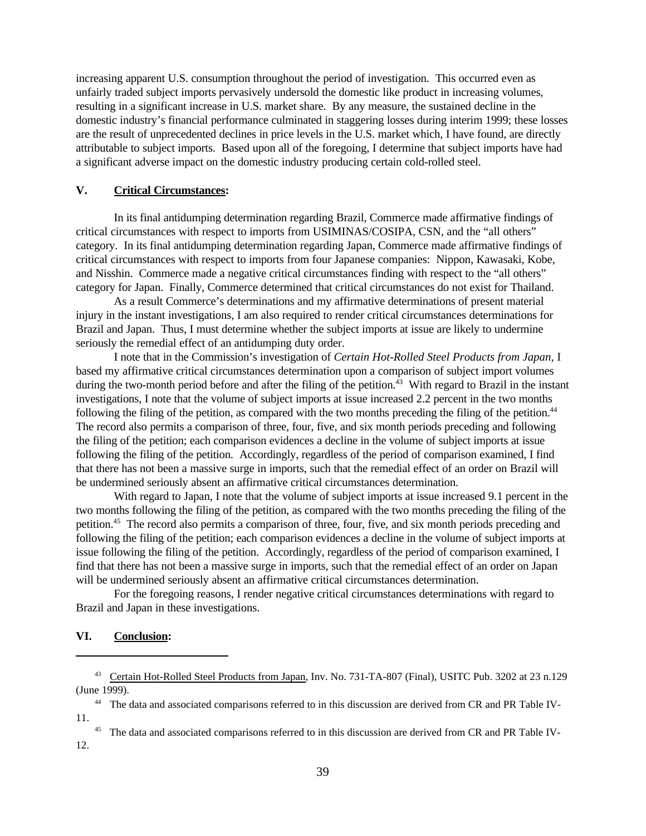increasing apparent U.S. consumption throughout the period of investigation. This occurred even as unfairly traded subject imports pervasively undersold the domestic like product in increasing volumes, resulting in a significant increase in U.S. market share. By any measure, the sustained decline in the domestic industry's financial performance culminated in staggering losses during interim 1999; these losses are the result of unprecedented declines in price levels in the U.S. market which, I have found, are directly attributable to subject imports. Based upon all of the foregoing, I determine that subject imports have had a significant adverse impact on the domestic industry producing certain cold-rolled steel.

### **V. Critical Circumstances:**

In its final antidumping determination regarding Brazil, Commerce made affirmative findings of critical circumstances with respect to imports from USIMINAS/COSIPA, CSN, and the "all others" category. In its final antidumping determination regarding Japan, Commerce made affirmative findings of critical circumstances with respect to imports from four Japanese companies: Nippon, Kawasaki, Kobe, and Nisshin. Commerce made a negative critical circumstances finding with respect to the "all others" category for Japan. Finally, Commerce determined that critical circumstances do not exist for Thailand.

As a result Commerce's determinations and my affirmative determinations of present material injury in the instant investigations, I am also required to render critical circumstances determinations for Brazil and Japan. Thus, I must determine whether the subject imports at issue are likely to undermine seriously the remedial effect of an antidumping duty order.

I note that in the Commission's investigation of *Certain Hot-Rolled Steel Products from Japan*, I based my affirmative critical circumstances determination upon a comparison of subject import volumes during the two-month period before and after the filing of the petition. $43$  With regard to Brazil in the instant investigations, I note that the volume of subject imports at issue increased 2.2 percent in the two months following the filing of the petition, as compared with the two months preceding the filing of the petition.<sup>44</sup> The record also permits a comparison of three, four, five, and six month periods preceding and following the filing of the petition; each comparison evidences a decline in the volume of subject imports at issue following the filing of the petition. Accordingly, regardless of the period of comparison examined, I find that there has not been a massive surge in imports, such that the remedial effect of an order on Brazil will be undermined seriously absent an affirmative critical circumstances determination.

With regard to Japan, I note that the volume of subject imports at issue increased 9.1 percent in the two months following the filing of the petition, as compared with the two months preceding the filing of the petition.<sup>45</sup> The record also permits a comparison of three, four, five, and six month periods preceding and following the filing of the petition; each comparison evidences a decline in the volume of subject imports at issue following the filing of the petition. Accordingly, regardless of the period of comparison examined, I find that there has not been a massive surge in imports, such that the remedial effect of an order on Japan will be undermined seriously absent an affirmative critical circumstances determination.

For the foregoing reasons, I render negative critical circumstances determinations with regard to Brazil and Japan in these investigations.

### **VI. Conclusion:**

<sup>45</sup> The data and associated comparisons referred to in this discussion are derived from CR and PR Table IV-12.

<sup>43</sup> Certain Hot-Rolled Steel Products from Japan, Inv. No. 731-TA-807 (Final), USITC Pub. 3202 at 23 n.129 (June 1999).

<sup>&</sup>lt;sup>44</sup> The data and associated comparisons referred to in this discussion are derived from CR and PR Table IV-11.